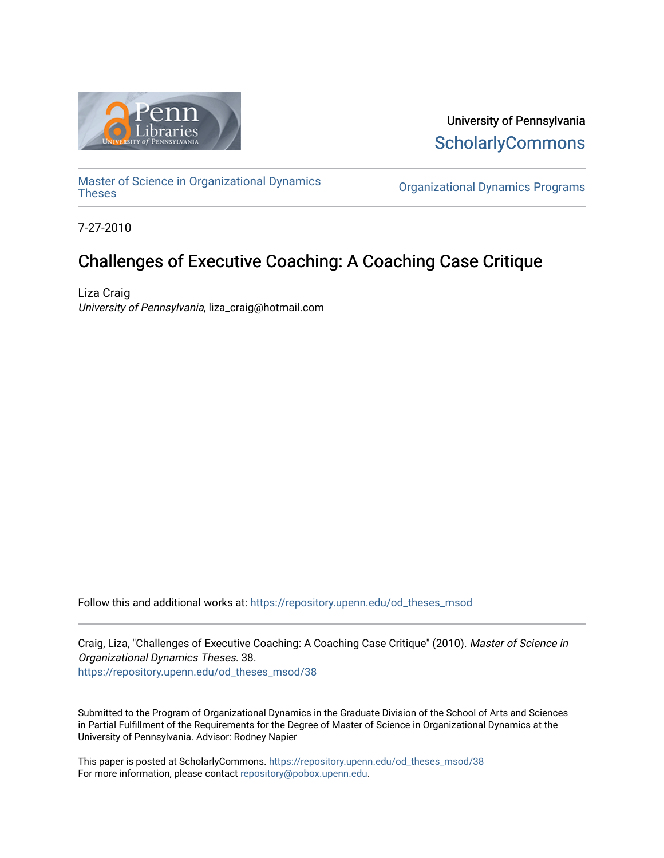

University of Pennsylvania **ScholarlyCommons** 

[Master of Science in Organizational Dynamics](https://repository.upenn.edu/od_theses_msod)

**Organizational Dynamics Programs** 

7-27-2010

# Challenges of Executive Coaching: A Coaching Case Critique

Liza Craig University of Pennsylvania, liza\_craig@hotmail.com

Follow this and additional works at: [https://repository.upenn.edu/od\\_theses\\_msod](https://repository.upenn.edu/od_theses_msod?utm_source=repository.upenn.edu%2Fod_theses_msod%2F38&utm_medium=PDF&utm_campaign=PDFCoverPages) 

Craig, Liza, "Challenges of Executive Coaching: A Coaching Case Critique" (2010). Master of Science in Organizational Dynamics Theses. 38. [https://repository.upenn.edu/od\\_theses\\_msod/38](https://repository.upenn.edu/od_theses_msod/38?utm_source=repository.upenn.edu%2Fod_theses_msod%2F38&utm_medium=PDF&utm_campaign=PDFCoverPages)

Submitted to the Program of Organizational Dynamics in the Graduate Division of the School of Arts and Sciences in Partial Fulfillment of the Requirements for the Degree of Master of Science in Organizational Dynamics at the University of Pennsylvania. Advisor: Rodney Napier

This paper is posted at ScholarlyCommons. [https://repository.upenn.edu/od\\_theses\\_msod/38](https://repository.upenn.edu/od_theses_msod/38)  For more information, please contact [repository@pobox.upenn.edu.](mailto:repository@pobox.upenn.edu)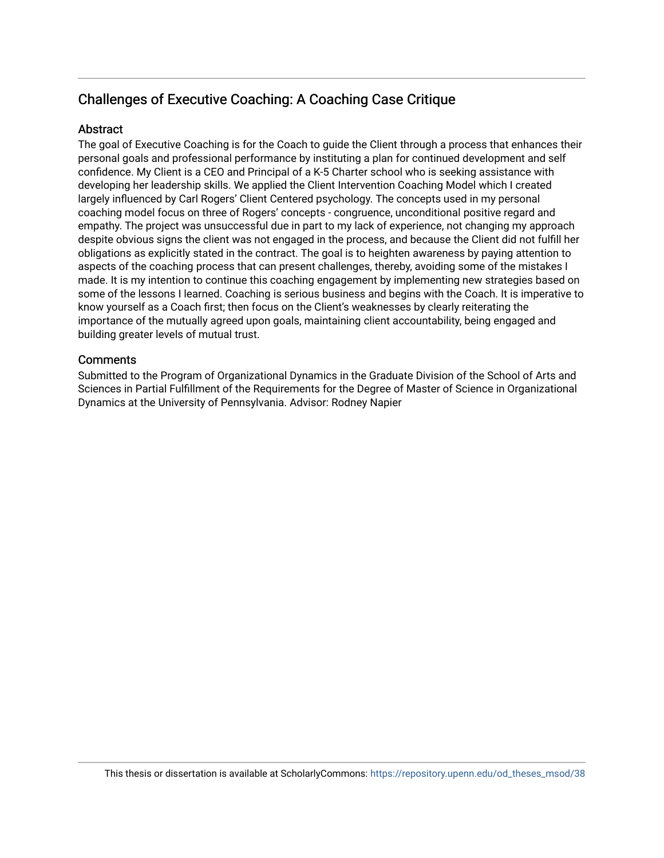## Challenges of Executive Coaching: A Coaching Case Critique

## **Abstract**

The goal of Executive Coaching is for the Coach to guide the Client through a process that enhances their personal goals and professional performance by instituting a plan for continued development and self confidence. My Client is a CEO and Principal of a K-5 Charter school who is seeking assistance with developing her leadership skills. We applied the Client Intervention Coaching Model which I created largely influenced by Carl Rogers' Client Centered psychology. The concepts used in my personal coaching model focus on three of Rogers' concepts - congruence, unconditional positive regard and empathy. The project was unsuccessful due in part to my lack of experience, not changing my approach despite obvious signs the client was not engaged in the process, and because the Client did not fulfill her obligations as explicitly stated in the contract. The goal is to heighten awareness by paying attention to aspects of the coaching process that can present challenges, thereby, avoiding some of the mistakes I made. It is my intention to continue this coaching engagement by implementing new strategies based on some of the lessons I learned. Coaching is serious business and begins with the Coach. It is imperative to know yourself as a Coach first; then focus on the Client's weaknesses by clearly reiterating the importance of the mutually agreed upon goals, maintaining client accountability, being engaged and building greater levels of mutual trust.

## **Comments**

Submitted to the Program of Organizational Dynamics in the Graduate Division of the School of Arts and Sciences in Partial Fulfillment of the Requirements for the Degree of Master of Science in Organizational Dynamics at the University of Pennsylvania. Advisor: Rodney Napier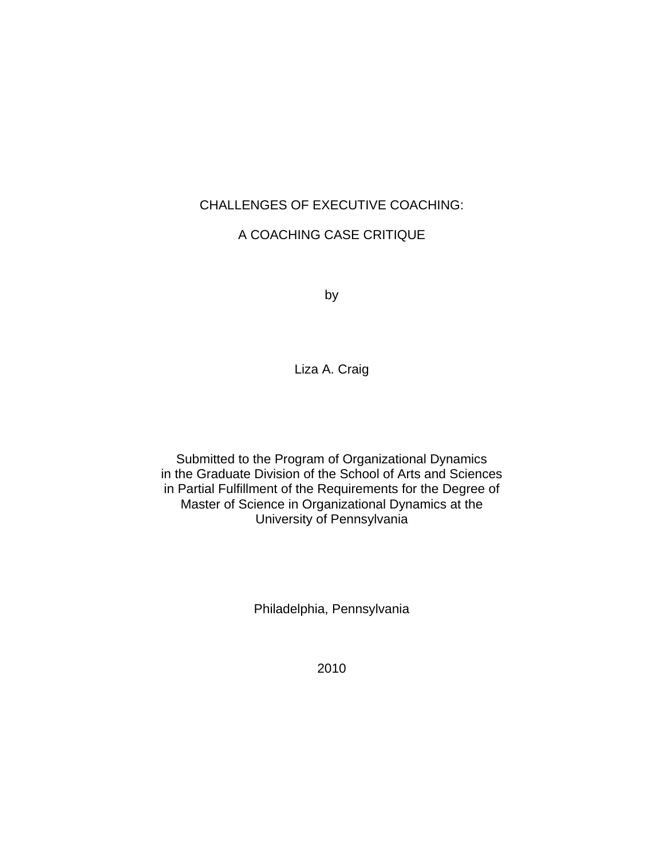## CHALLENGES OF EXECUTIVE COACHING:

## A COACHING CASE CRITIQUE

by

Liza A. Craig

Submitted to the Program of Organizational Dynamics in the Graduate Division of the School of Arts and Sciences in Partial Fulfillment of the Requirements for the Degree of Master of Science in Organizational Dynamics at the University of Pennsylvania

Philadelphia, Pennsylvania

2010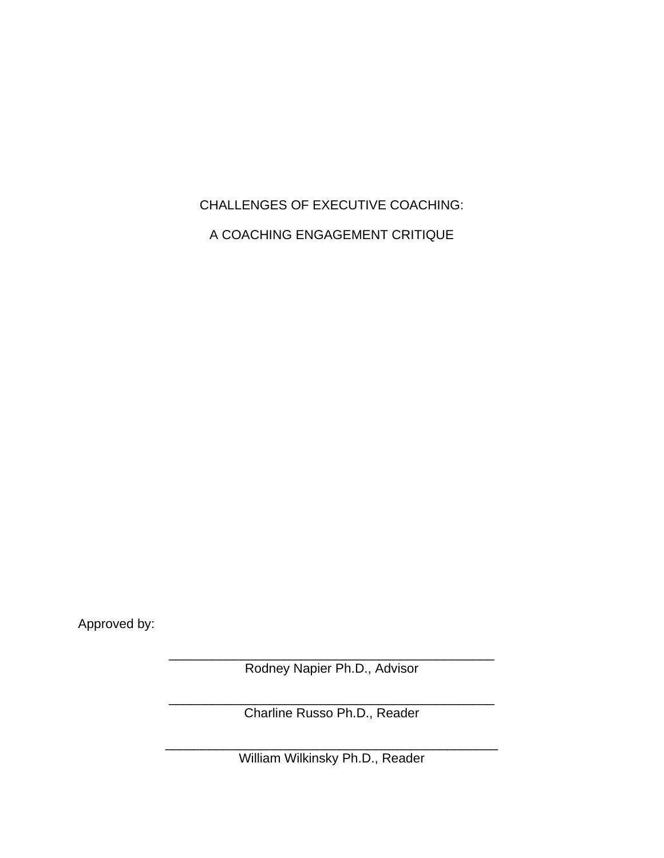# CHALLENGES OF EXECUTIVE COACHING:

A COACHING ENGAGEMENT CRITIQUE

Approved by:

\_\_\_\_\_\_\_\_\_\_\_\_\_\_\_\_\_\_\_\_\_\_\_\_\_\_\_\_\_\_\_\_\_\_\_\_\_\_\_\_\_\_\_\_\_ Rodney Napier Ph.D., Advisor

\_\_\_\_\_\_\_\_\_\_\_\_\_\_\_\_\_\_\_\_\_\_\_\_\_\_\_\_\_\_\_\_\_\_\_\_\_\_\_\_\_\_\_\_\_ Charline Russo Ph.D., Reader

\_\_\_\_\_\_\_\_\_\_\_\_\_\_\_\_\_\_\_\_\_\_\_\_\_\_\_\_\_\_\_\_\_\_\_\_\_\_\_\_\_\_\_\_\_\_ William Wilkinsky Ph.D., Reader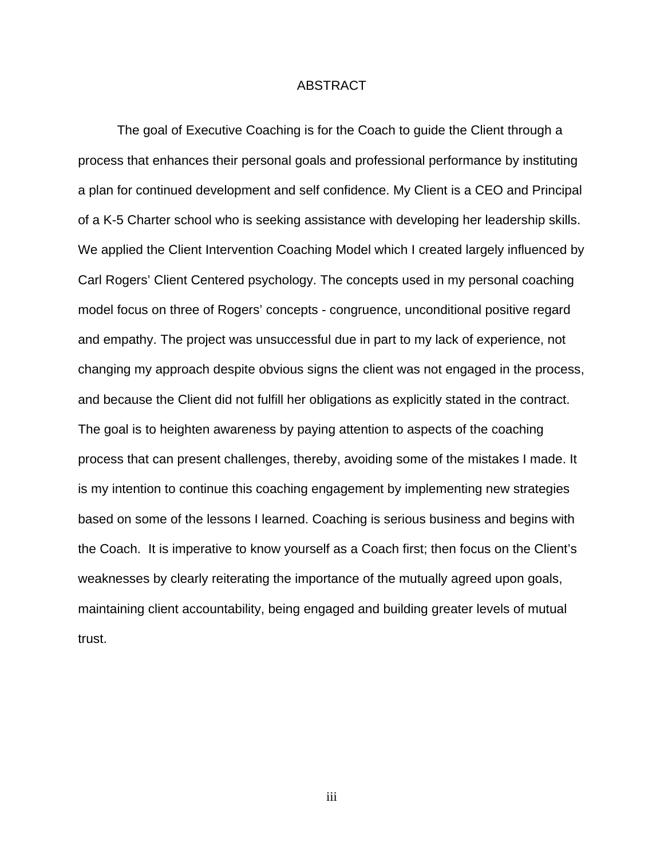## ABSTRACT

The goal of Executive Coaching is for the Coach to guide the Client through a process that enhances their personal goals and professional performance by instituting a plan for continued development and self confidence. My Client is a CEO and Principal of a K-5 Charter school who is seeking assistance with developing her leadership skills. We applied the Client Intervention Coaching Model which I created largely influenced by Carl Rogers' Client Centered psychology. The concepts used in my personal coaching model focus on three of Rogers' concepts - congruence, unconditional positive regard and empathy. The project was unsuccessful due in part to my lack of experience, not changing my approach despite obvious signs the client was not engaged in the process, and because the Client did not fulfill her obligations as explicitly stated in the contract. The goal is to heighten awareness by paying attention to aspects of the coaching process that can present challenges, thereby, avoiding some of the mistakes I made. It is my intention to continue this coaching engagement by implementing new strategies based on some of the lessons I learned. Coaching is serious business and begins with the Coach. It is imperative to know yourself as a Coach first; then focus on the Client's weaknesses by clearly reiterating the importance of the mutually agreed upon goals, maintaining client accountability, being engaged and building greater levels of mutual trust.

iii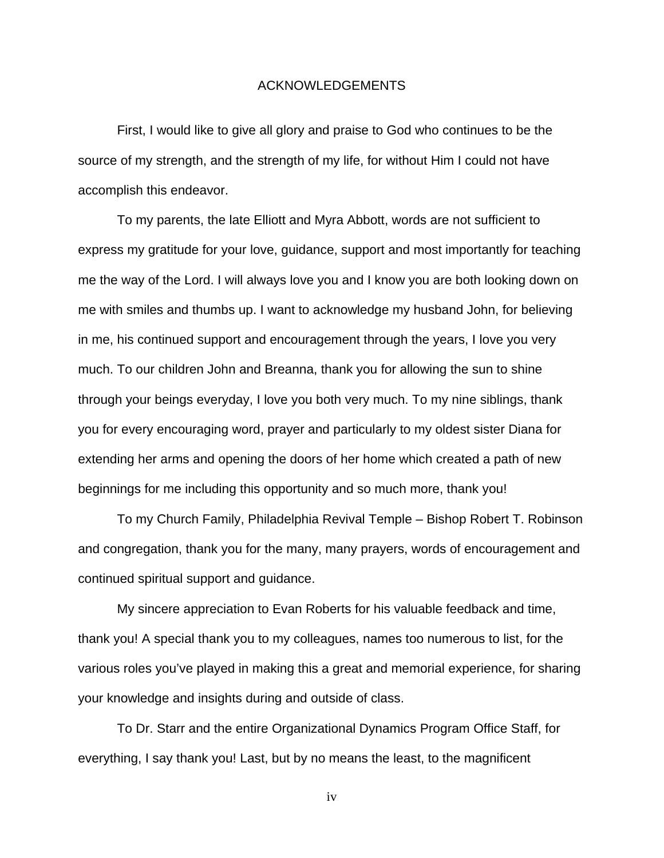#### ACKNOWLEDGEMENTS

First, I would like to give all glory and praise to God who continues to be the source of my strength, and the strength of my life, for without Him I could not have accomplish this endeavor.

To my parents, the late Elliott and Myra Abbott, words are not sufficient to express my gratitude for your love, guidance, support and most importantly for teaching me the way of the Lord. I will always love you and I know you are both looking down on me with smiles and thumbs up. I want to acknowledge my husband John, for believing in me, his continued support and encouragement through the years, I love you very much. To our children John and Breanna, thank you for allowing the sun to shine through your beings everyday, I love you both very much. To my nine siblings, thank you for every encouraging word, prayer and particularly to my oldest sister Diana for extending her arms and opening the doors of her home which created a path of new beginnings for me including this opportunity and so much more, thank you!

To my Church Family, Philadelphia Revival Temple – Bishop Robert T. Robinson and congregation, thank you for the many, many prayers, words of encouragement and continued spiritual support and guidance.

My sincere appreciation to Evan Roberts for his valuable feedback and time, thank you! A special thank you to my colleagues, names too numerous to list, for the various roles you've played in making this a great and memorial experience, for sharing your knowledge and insights during and outside of class.

To Dr. Starr and the entire Organizational Dynamics Program Office Staff, for everything, I say thank you! Last, but by no means the least, to the magnificent

iv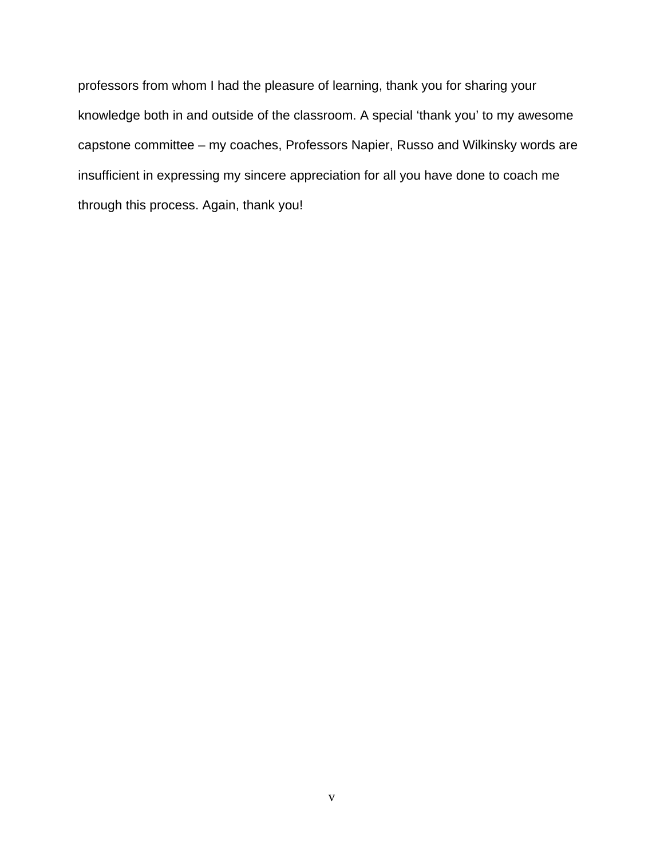professors from whom I had the pleasure of learning, thank you for sharing your knowledge both in and outside of the classroom. A special 'thank you' to my awesome capstone committee – my coaches, Professors Napier, Russo and Wilkinsky words are insufficient in expressing my sincere appreciation for all you have done to coach me through this process. Again, thank you!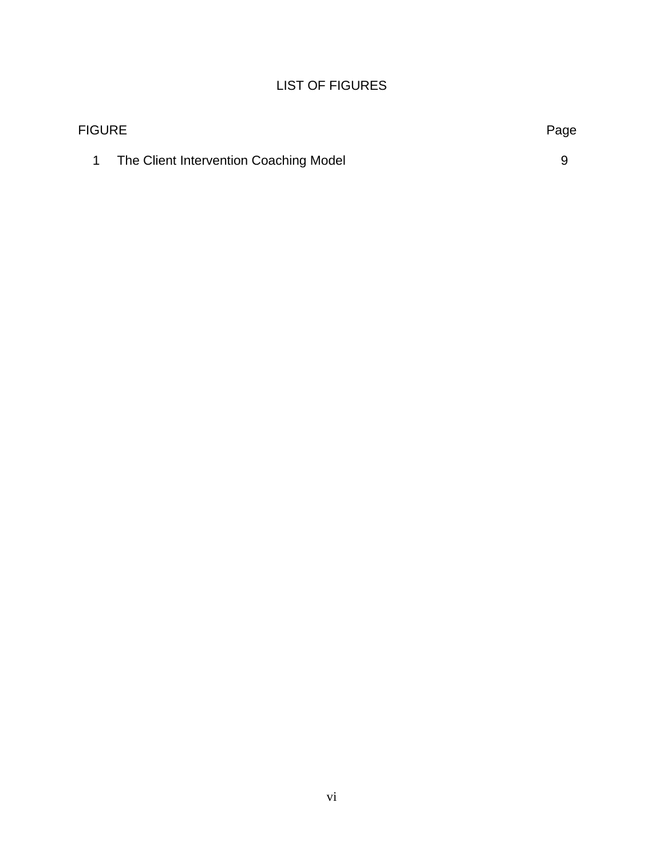## LIST OF FIGURES

| <b>FIGURE</b>                          | Page |
|----------------------------------------|------|
| The Client Intervention Coaching Model |      |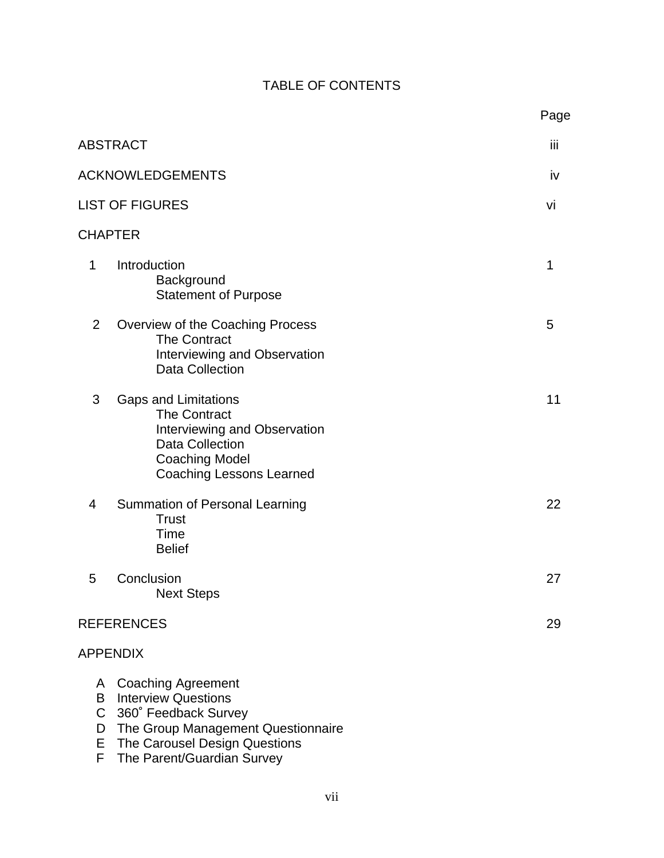# TABLE OF CONTENTS

|                                       |                                                                                                                                                                                      | Page |
|---------------------------------------|--------------------------------------------------------------------------------------------------------------------------------------------------------------------------------------|------|
|                                       | <b>ABSTRACT</b>                                                                                                                                                                      | Ϊij  |
|                                       | <b>ACKNOWLEDGEMENTS</b>                                                                                                                                                              | iv   |
|                                       | <b>LIST OF FIGURES</b>                                                                                                                                                               | Vİ   |
|                                       | <b>CHAPTER</b>                                                                                                                                                                       |      |
| $\mathbf 1$                           | Introduction<br>Background<br><b>Statement of Purpose</b>                                                                                                                            | 1    |
| $\overline{2}$                        | Overview of the Coaching Process<br><b>The Contract</b><br>Interviewing and Observation<br><b>Data Collection</b>                                                                    | 5    |
| 3                                     | <b>Gaps and Limitations</b><br><b>The Contract</b><br>Interviewing and Observation<br><b>Data Collection</b><br><b>Coaching Model</b><br><b>Coaching Lessons Learned</b>             | 11   |
| 4                                     | Summation of Personal Learning<br><b>Trust</b><br>Time<br><b>Belief</b>                                                                                                              | 22   |
| 5                                     | Conclusion<br><b>Next Steps</b>                                                                                                                                                      | 27   |
|                                       | <b>REFERENCES</b>                                                                                                                                                                    | 29   |
|                                       | <b>APPENDIX</b>                                                                                                                                                                      |      |
| A<br>B<br>$\mathsf{C}$<br>D<br>Е<br>F | <b>Coaching Agreement</b><br><b>Interview Questions</b><br>360° Feedback Survey<br>The Group Management Questionnaire<br>The Carousel Design Questions<br>The Parent/Guardian Survey |      |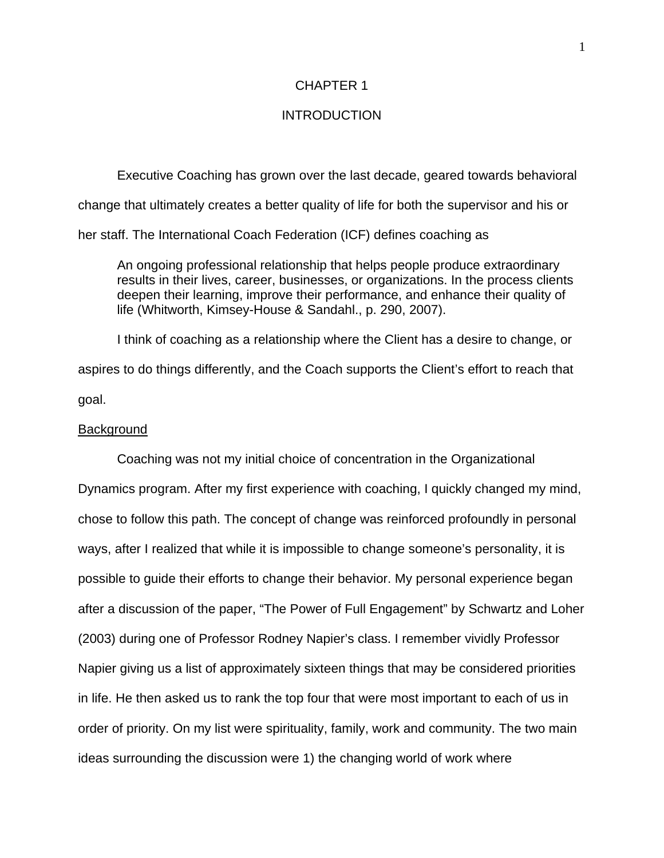#### CHAPTER 1

## **INTRODUCTION**

Executive Coaching has grown over the last decade, geared towards behavioral change that ultimately creates a better quality of life for both the supervisor and his or her staff. The International Coach Federation (ICF) defines coaching as

An ongoing professional relationship that helps people produce extraordinary results in their lives, career, businesses, or organizations. In the process clients deepen their learning, improve their performance, and enhance their quality of life (Whitworth, Kimsey-House & Sandahl., p. 290, 2007).

I think of coaching as a relationship where the Client has a desire to change, or aspires to do things differently, and the Coach supports the Client's effort to reach that goal.

#### **Background**

Coaching was not my initial choice of concentration in the Organizational Dynamics program. After my first experience with coaching, I quickly changed my mind, chose to follow this path. The concept of change was reinforced profoundly in personal ways, after I realized that while it is impossible to change someone's personality, it is possible to guide their efforts to change their behavior. My personal experience began after a discussion of the paper, "The Power of Full Engagement" by Schwartz and Loher (2003) during one of Professor Rodney Napier's class. I remember vividly Professor Napier giving us a list of approximately sixteen things that may be considered priorities in life. He then asked us to rank the top four that were most important to each of us in order of priority. On my list were spirituality, family, work and community. The two main ideas surrounding the discussion were 1) the changing world of work where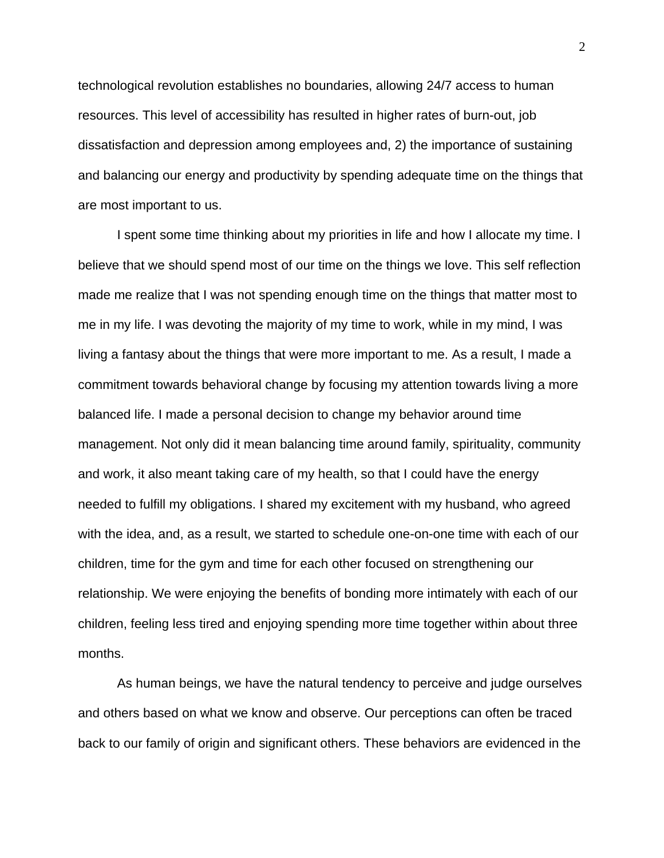technological revolution establishes no boundaries, allowing 24/7 access to human resources. This level of accessibility has resulted in higher rates of burn-out, job dissatisfaction and depression among employees and, 2) the importance of sustaining and balancing our energy and productivity by spending adequate time on the things that are most important to us.

I spent some time thinking about my priorities in life and how I allocate my time. I believe that we should spend most of our time on the things we love. This self reflection made me realize that I was not spending enough time on the things that matter most to me in my life. I was devoting the majority of my time to work, while in my mind, I was living a fantasy about the things that were more important to me. As a result, I made a commitment towards behavioral change by focusing my attention towards living a more balanced life. I made a personal decision to change my behavior around time management. Not only did it mean balancing time around family, spirituality, community and work, it also meant taking care of my health, so that I could have the energy needed to fulfill my obligations. I shared my excitement with my husband, who agreed with the idea, and, as a result, we started to schedule one-on-one time with each of our children, time for the gym and time for each other focused on strengthening our relationship. We were enjoying the benefits of bonding more intimately with each of our children, feeling less tired and enjoying spending more time together within about three months.

As human beings, we have the natural tendency to perceive and judge ourselves and others based on what we know and observe. Our perceptions can often be traced back to our family of origin and significant others. These behaviors are evidenced in the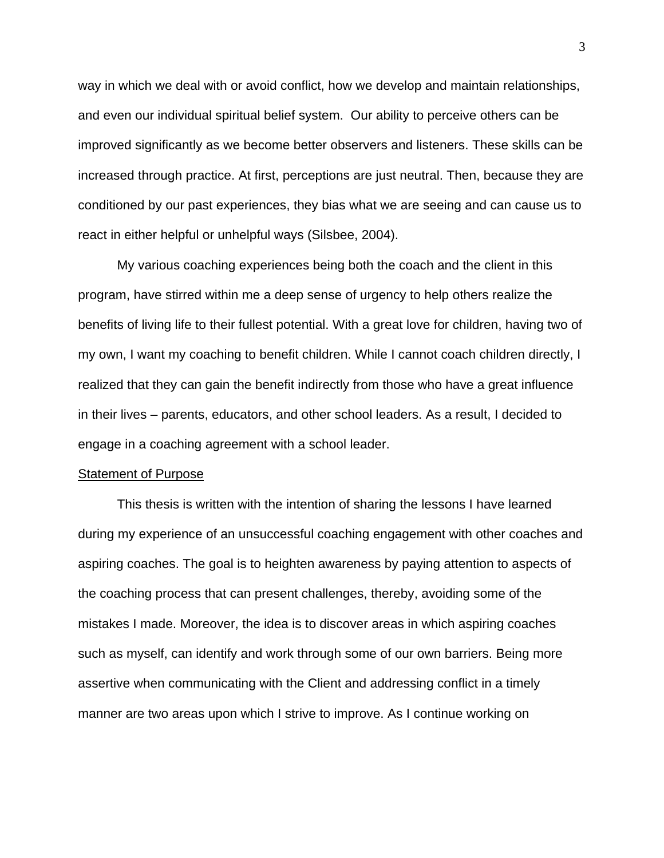way in which we deal with or avoid conflict, how we develop and maintain relationships, and even our individual spiritual belief system. Our ability to perceive others can be improved significantly as we become better observers and listeners. These skills can be increased through practice. At first, perceptions are just neutral. Then, because they are conditioned by our past experiences, they bias what we are seeing and can cause us to react in either helpful or unhelpful ways (Silsbee, 2004).

My various coaching experiences being both the coach and the client in this program, have stirred within me a deep sense of urgency to help others realize the benefits of living life to their fullest potential. With a great love for children, having two of my own, I want my coaching to benefit children. While I cannot coach children directly, I realized that they can gain the benefit indirectly from those who have a great influence in their lives – parents, educators, and other school leaders. As a result, I decided to engage in a coaching agreement with a school leader.

#### **Statement of Purpose**

This thesis is written with the intention of sharing the lessons I have learned during my experience of an unsuccessful coaching engagement with other coaches and aspiring coaches. The goal is to heighten awareness by paying attention to aspects of the coaching process that can present challenges, thereby, avoiding some of the mistakes I made. Moreover, the idea is to discover areas in which aspiring coaches such as myself, can identify and work through some of our own barriers. Being more assertive when communicating with the Client and addressing conflict in a timely manner are two areas upon which I strive to improve. As I continue working on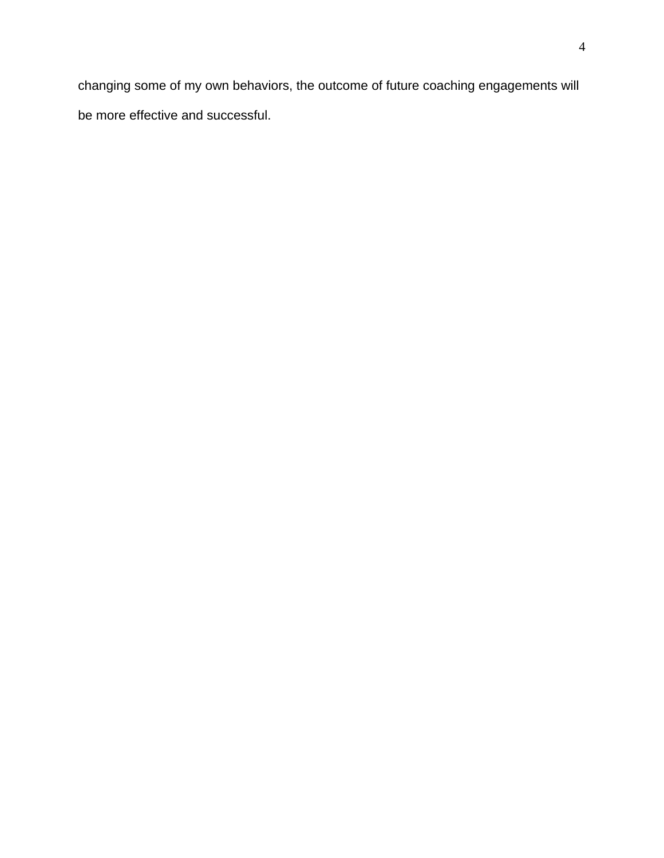changing some of my own behaviors, the outcome of future coaching engagements will be more effective and successful.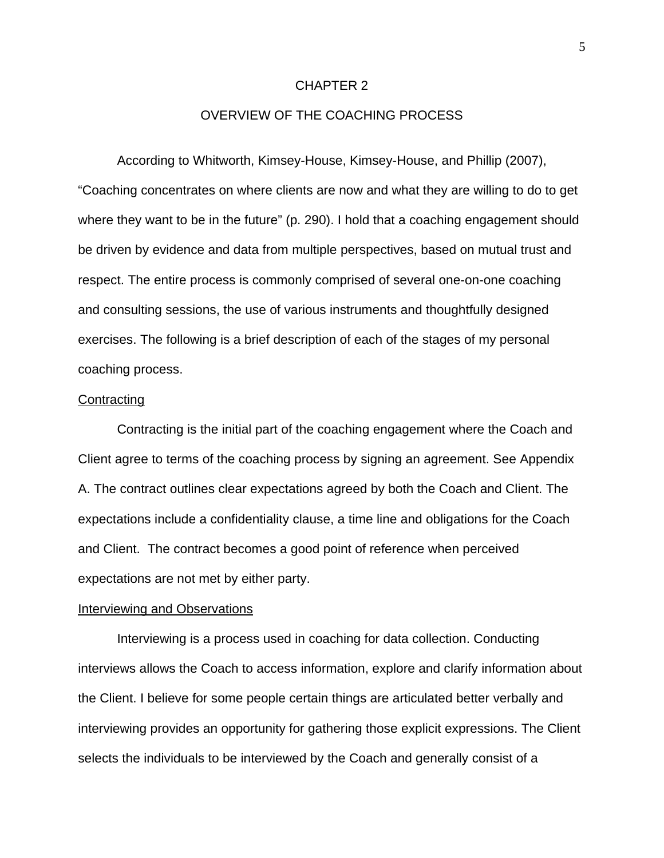#### CHAPTER 2

## OVERVIEW OF THE COACHING PROCESS

According to Whitworth, Kimsey-House, Kimsey-House, and Phillip (2007), "Coaching concentrates on where clients are now and what they are willing to do to get where they want to be in the future" (p. 290). I hold that a coaching engagement should be driven by evidence and data from multiple perspectives, based on mutual trust and respect. The entire process is commonly comprised of several one-on-one coaching and consulting sessions, the use of various instruments and thoughtfully designed exercises. The following is a brief description of each of the stages of my personal coaching process.

#### **Contracting**

Contracting is the initial part of the coaching engagement where the Coach and Client agree to terms of the coaching process by signing an agreement. See Appendix A. The contract outlines clear expectations agreed by both the Coach and Client. The expectations include a confidentiality clause, a time line and obligations for the Coach and Client. The contract becomes a good point of reference when perceived expectations are not met by either party.

#### Interviewing and Observations

Interviewing is a process used in coaching for data collection. Conducting interviews allows the Coach to access information, explore and clarify information about the Client. I believe for some people certain things are articulated better verbally and interviewing provides an opportunity for gathering those explicit expressions. The Client selects the individuals to be interviewed by the Coach and generally consist of a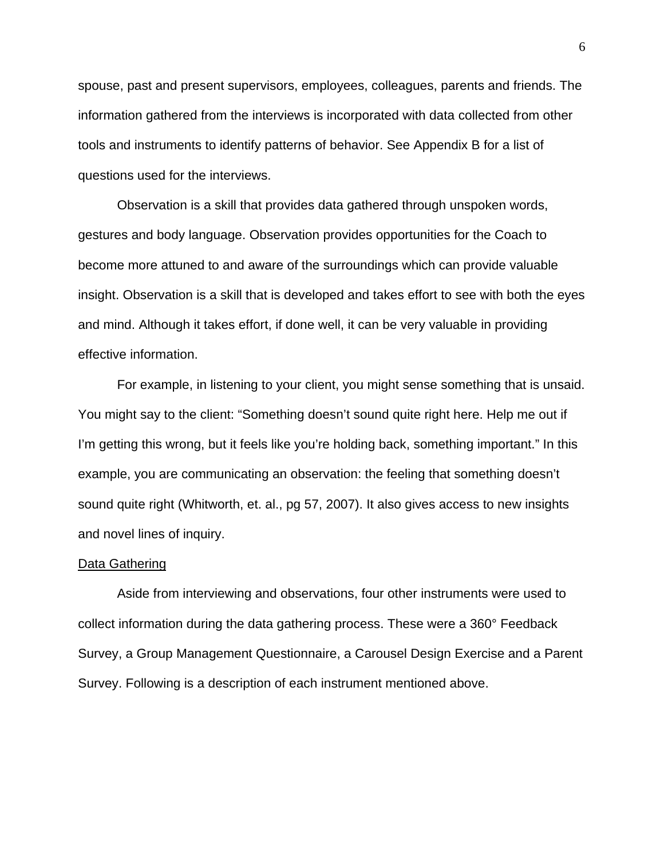spouse, past and present supervisors, employees, colleagues, parents and friends. The information gathered from the interviews is incorporated with data collected from other tools and instruments to identify patterns of behavior. See Appendix B for a list of questions used for the interviews.

Observation is a skill that provides data gathered through unspoken words, gestures and body language. Observation provides opportunities for the Coach to become more attuned to and aware of the surroundings which can provide valuable insight. Observation is a skill that is developed and takes effort to see with both the eyes and mind. Although it takes effort, if done well, it can be very valuable in providing effective information.

For example, in listening to your client, you might sense something that is unsaid. You might say to the client: "Something doesn't sound quite right here. Help me out if I'm getting this wrong, but it feels like you're holding back, something important." In this example, you are communicating an observation: the feeling that something doesn't sound quite right (Whitworth, et. al., pg 57, 2007). It also gives access to new insights and novel lines of inquiry.

#### Data Gathering

Aside from interviewing and observations, four other instruments were used to collect information during the data gathering process. These were a 360° Feedback Survey, a Group Management Questionnaire, a Carousel Design Exercise and a Parent Survey. Following is a description of each instrument mentioned above.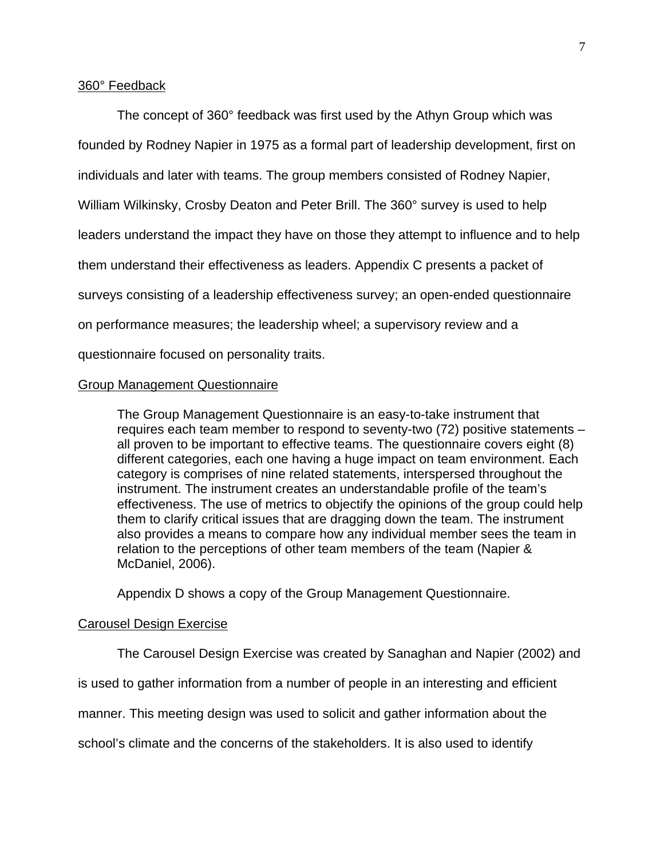#### 360° Feedback

The concept of 360° feedback was first used by the Athyn Group which was founded by Rodney Napier in 1975 as a formal part of leadership development, first on individuals and later with teams. The group members consisted of Rodney Napier, William Wilkinsky, Crosby Deaton and Peter Brill. The 360° survey is used to help leaders understand the impact they have on those they attempt to influence and to help them understand their effectiveness as leaders. Appendix C presents a packet of surveys consisting of a leadership effectiveness survey; an open-ended questionnaire on performance measures; the leadership wheel; a supervisory review and a questionnaire focused on personality traits.

#### Group Management Questionnaire

The Group Management Questionnaire is an easy-to-take instrument that requires each team member to respond to seventy-two (72) positive statements – all proven to be important to effective teams. The questionnaire covers eight (8) different categories, each one having a huge impact on team environment. Each category is comprises of nine related statements, interspersed throughout the instrument. The instrument creates an understandable profile of the team's effectiveness. The use of metrics to objectify the opinions of the group could help them to clarify critical issues that are dragging down the team. The instrument also provides a means to compare how any individual member sees the team in relation to the perceptions of other team members of the team (Napier & McDaniel, 2006).

Appendix D shows a copy of the Group Management Questionnaire.

#### Carousel Design Exercise

The Carousel Design Exercise was created by Sanaghan and Napier (2002) and

is used to gather information from a number of people in an interesting and efficient

manner. This meeting design was used to solicit and gather information about the

school's climate and the concerns of the stakeholders. It is also used to identify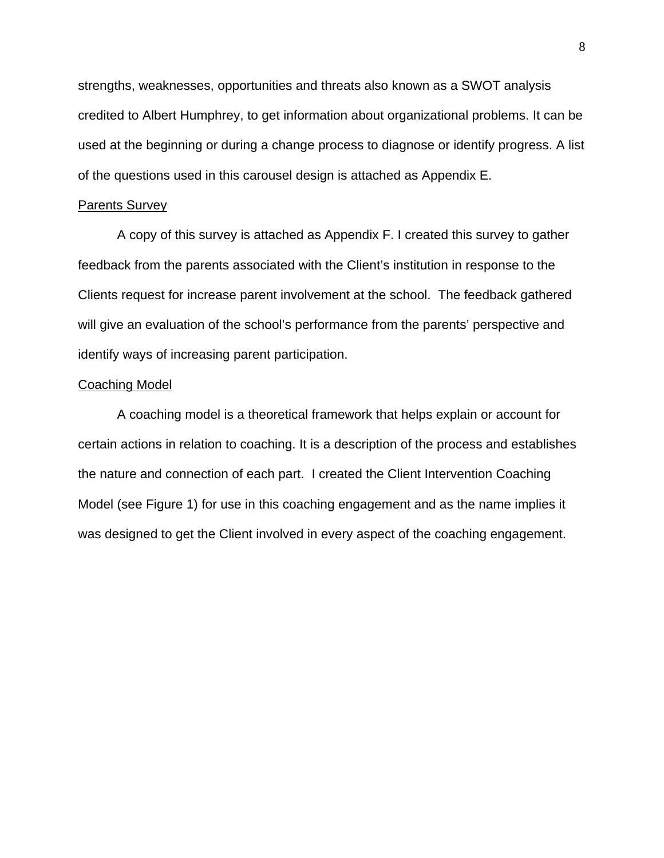strengths, weaknesses, opportunities and threats also known as a SWOT analysis credited to Albert Humphrey, to get information about organizational problems. It can be used at the beginning or during a change process to diagnose or identify progress. A list of the questions used in this carousel design is attached as Appendix E.

#### Parents Survey

A copy of this survey is attached as Appendix F. I created this survey to gather feedback from the parents associated with the Client's institution in response to the Clients request for increase parent involvement at the school. The feedback gathered will give an evaluation of the school's performance from the parents' perspective and identify ways of increasing parent participation.

#### Coaching Model

A coaching model is a theoretical framework that helps explain or account for certain actions in relation to coaching. It is a description of the process and establishes the nature and connection of each part. I created the Client Intervention Coaching Model (see Figure 1) for use in this coaching engagement and as the name implies it was designed to get the Client involved in every aspect of the coaching engagement.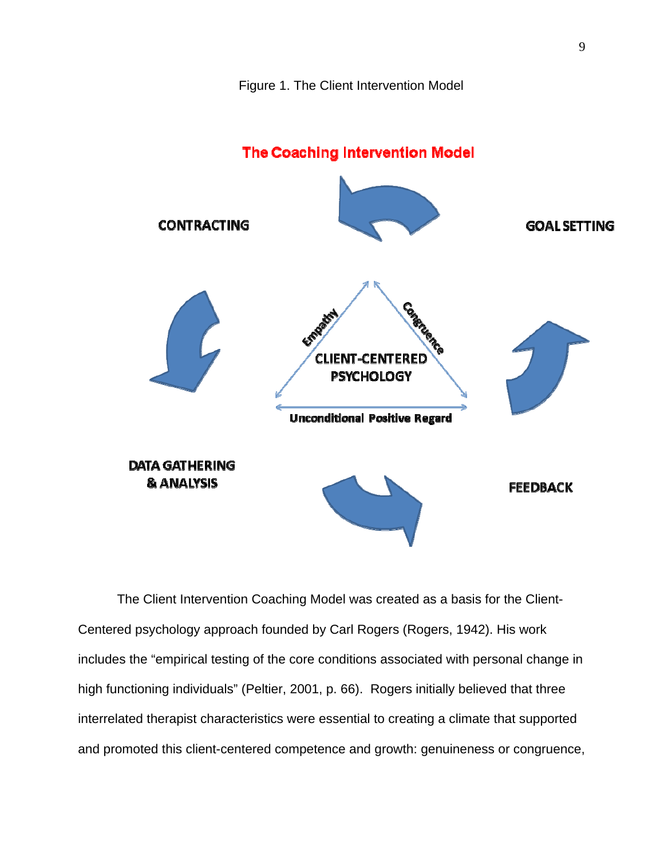



The Client Intervention Coaching Model was created as a basis for the Client-Centered psychology approach founded by Carl Rogers (Rogers, 1942). His work includes the "empirical testing of the core conditions associated with personal change in high functioning individuals" (Peltier, 2001, p. 66). Rogers initially believed that three interrelated therapist characteristics were essential to creating a climate that supported and promoted this client-centered competence and growth: genuineness or congruence,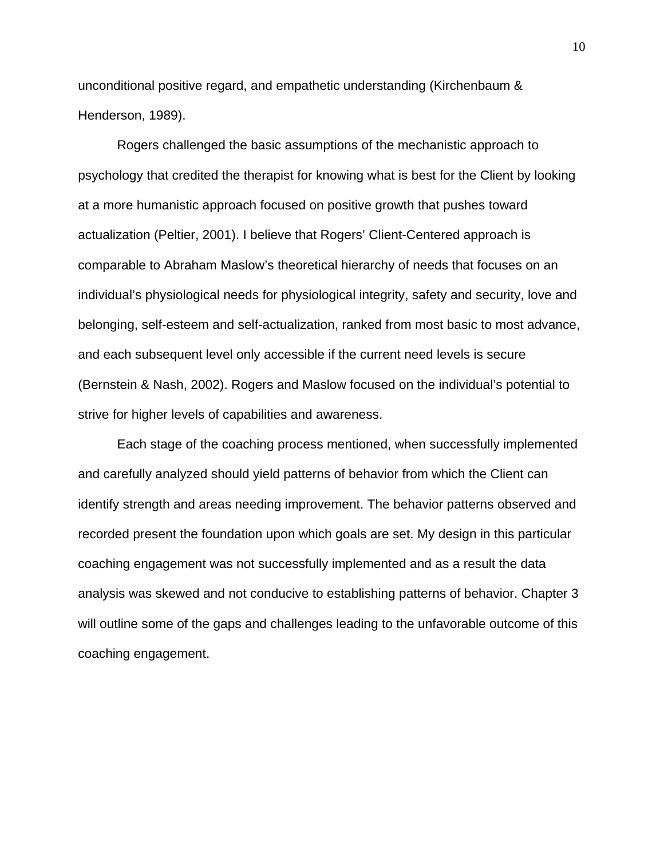unconditional positive regard, and empathetic understanding (Kirchenbaum & Henderson, 1989).

Rogers challenged the basic assumptions of the mechanistic approach to psychology that credited the therapist for knowing what is best for the Client by looking at a more humanistic approach focused on positive growth that pushes toward actualization (Peltier, 2001). I believe that Rogers' Client-Centered approach is comparable to Abraham Maslow's theoretical hierarchy of needs that focuses on an individual's physiological needs for physiological integrity, safety and security, love and belonging, self-esteem and self-actualization, ranked from most basic to most advance, and each subsequent level only accessible if the current need levels is secure (Bernstein & Nash, 2002). Rogers and Maslow focused on the individual's potential to strive for higher levels of capabilities and awareness.

Each stage of the coaching process mentioned, when successfully implemented and carefully analyzed should yield patterns of behavior from which the Client can identify strength and areas needing improvement. The behavior patterns observed and recorded present the foundation upon which goals are set. My design in this particular coaching engagement was not successfully implemented and as a result the data analysis was skewed and not conducive to establishing patterns of behavior. Chapter 3 will outline some of the gaps and challenges leading to the unfavorable outcome of this coaching engagement.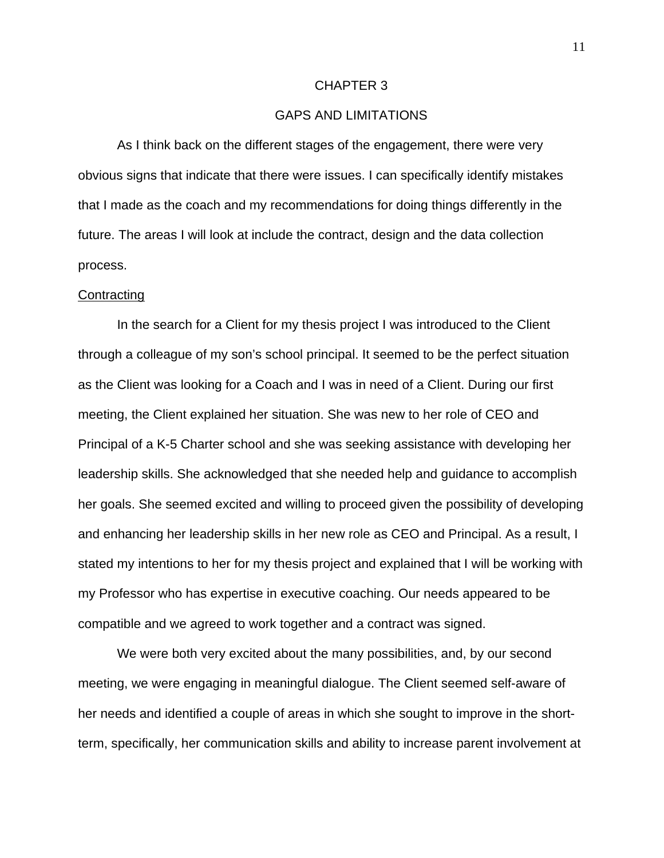#### CHAPTER 3

## GAPS AND LIMITATIONS

As I think back on the different stages of the engagement, there were very obvious signs that indicate that there were issues. I can specifically identify mistakes that I made as the coach and my recommendations for doing things differently in the future. The areas I will look at include the contract, design and the data collection process.

#### Contracting

In the search for a Client for my thesis project I was introduced to the Client through a colleague of my son's school principal. It seemed to be the perfect situation as the Client was looking for a Coach and I was in need of a Client. During our first meeting, the Client explained her situation. She was new to her role of CEO and Principal of a K-5 Charter school and she was seeking assistance with developing her leadership skills. She acknowledged that she needed help and guidance to accomplish her goals. She seemed excited and willing to proceed given the possibility of developing and enhancing her leadership skills in her new role as CEO and Principal. As a result, I stated my intentions to her for my thesis project and explained that I will be working with my Professor who has expertise in executive coaching. Our needs appeared to be compatible and we agreed to work together and a contract was signed.

We were both very excited about the many possibilities, and, by our second meeting, we were engaging in meaningful dialogue. The Client seemed self-aware of her needs and identified a couple of areas in which she sought to improve in the shortterm, specifically, her communication skills and ability to increase parent involvement at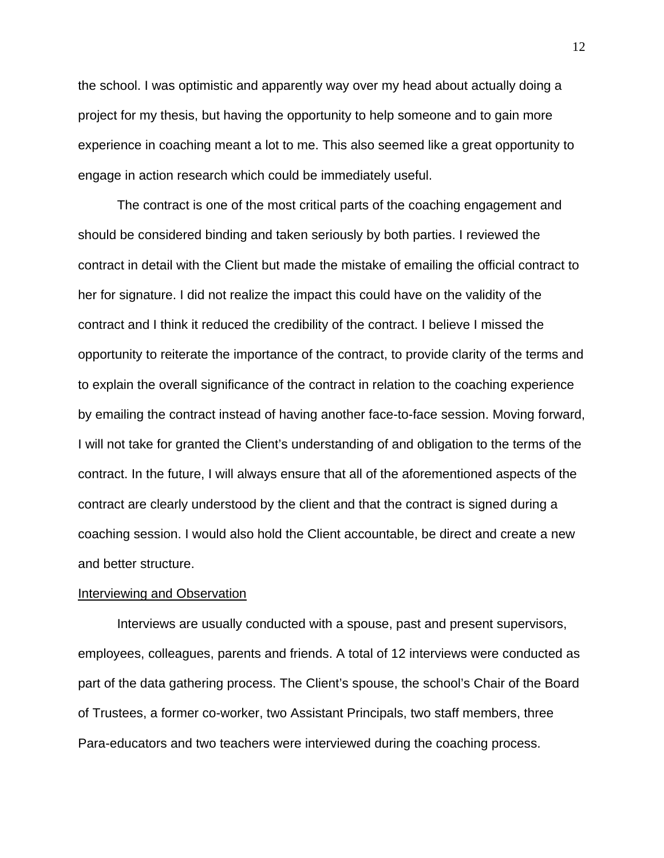the school. I was optimistic and apparently way over my head about actually doing a project for my thesis, but having the opportunity to help someone and to gain more experience in coaching meant a lot to me. This also seemed like a great opportunity to engage in action research which could be immediately useful.

The contract is one of the most critical parts of the coaching engagement and should be considered binding and taken seriously by both parties. I reviewed the contract in detail with the Client but made the mistake of emailing the official contract to her for signature. I did not realize the impact this could have on the validity of the contract and I think it reduced the credibility of the contract. I believe I missed the opportunity to reiterate the importance of the contract, to provide clarity of the terms and to explain the overall significance of the contract in relation to the coaching experience by emailing the contract instead of having another face-to-face session. Moving forward, I will not take for granted the Client's understanding of and obligation to the terms of the contract. In the future, I will always ensure that all of the aforementioned aspects of the contract are clearly understood by the client and that the contract is signed during a coaching session. I would also hold the Client accountable, be direct and create a new and better structure.

#### Interviewing and Observation

Interviews are usually conducted with a spouse, past and present supervisors, employees, colleagues, parents and friends. A total of 12 interviews were conducted as part of the data gathering process. The Client's spouse, the school's Chair of the Board of Trustees, a former co-worker, two Assistant Principals, two staff members, three Para-educators and two teachers were interviewed during the coaching process.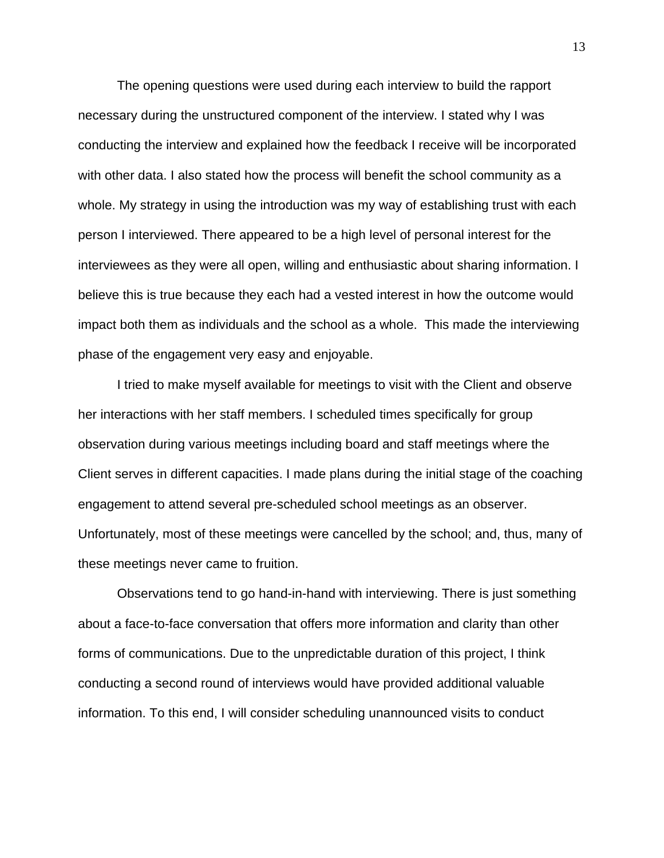The opening questions were used during each interview to build the rapport necessary during the unstructured component of the interview. I stated why I was conducting the interview and explained how the feedback I receive will be incorporated with other data. I also stated how the process will benefit the school community as a whole. My strategy in using the introduction was my way of establishing trust with each person I interviewed. There appeared to be a high level of personal interest for the interviewees as they were all open, willing and enthusiastic about sharing information. I believe this is true because they each had a vested interest in how the outcome would impact both them as individuals and the school as a whole. This made the interviewing phase of the engagement very easy and enjoyable.

I tried to make myself available for meetings to visit with the Client and observe her interactions with her staff members. I scheduled times specifically for group observation during various meetings including board and staff meetings where the Client serves in different capacities. I made plans during the initial stage of the coaching engagement to attend several pre-scheduled school meetings as an observer. Unfortunately, most of these meetings were cancelled by the school; and, thus, many of these meetings never came to fruition.

Observations tend to go hand-in-hand with interviewing. There is just something about a face-to-face conversation that offers more information and clarity than other forms of communications. Due to the unpredictable duration of this project, I think conducting a second round of interviews would have provided additional valuable information. To this end, I will consider scheduling unannounced visits to conduct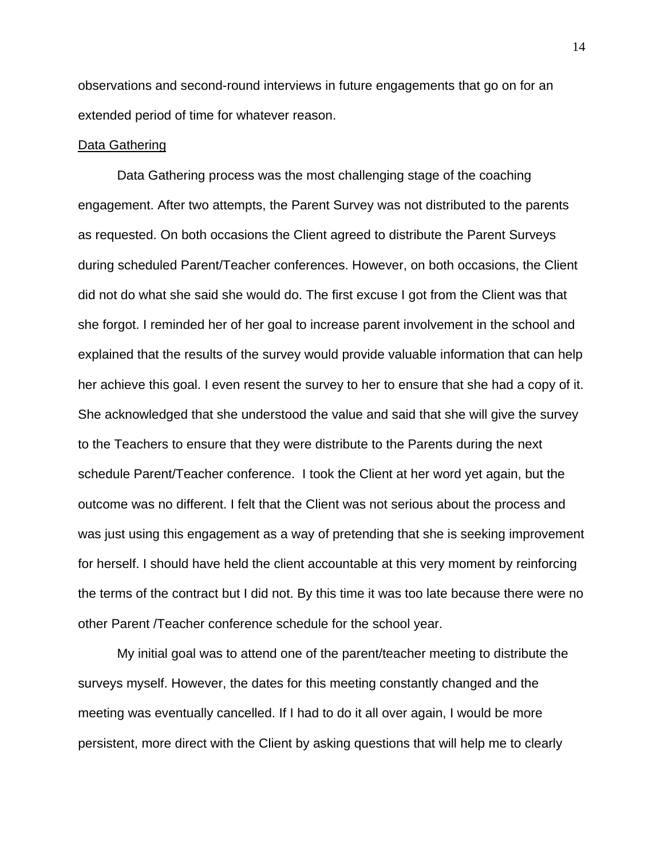observations and second-round interviews in future engagements that go on for an extended period of time for whatever reason.

#### Data Gathering

Data Gathering process was the most challenging stage of the coaching engagement. After two attempts, the Parent Survey was not distributed to the parents as requested. On both occasions the Client agreed to distribute the Parent Surveys during scheduled Parent/Teacher conferences. However, on both occasions, the Client did not do what she said she would do. The first excuse I got from the Client was that she forgot. I reminded her of her goal to increase parent involvement in the school and explained that the results of the survey would provide valuable information that can help her achieve this goal. I even resent the survey to her to ensure that she had a copy of it. She acknowledged that she understood the value and said that she will give the survey to the Teachers to ensure that they were distribute to the Parents during the next schedule Parent/Teacher conference. I took the Client at her word yet again, but the outcome was no different. I felt that the Client was not serious about the process and was just using this engagement as a way of pretending that she is seeking improvement for herself. I should have held the client accountable at this very moment by reinforcing the terms of the contract but I did not. By this time it was too late because there were no other Parent /Teacher conference schedule for the school year.

My initial goal was to attend one of the parent/teacher meeting to distribute the surveys myself. However, the dates for this meeting constantly changed and the meeting was eventually cancelled. If I had to do it all over again, I would be more persistent, more direct with the Client by asking questions that will help me to clearly

14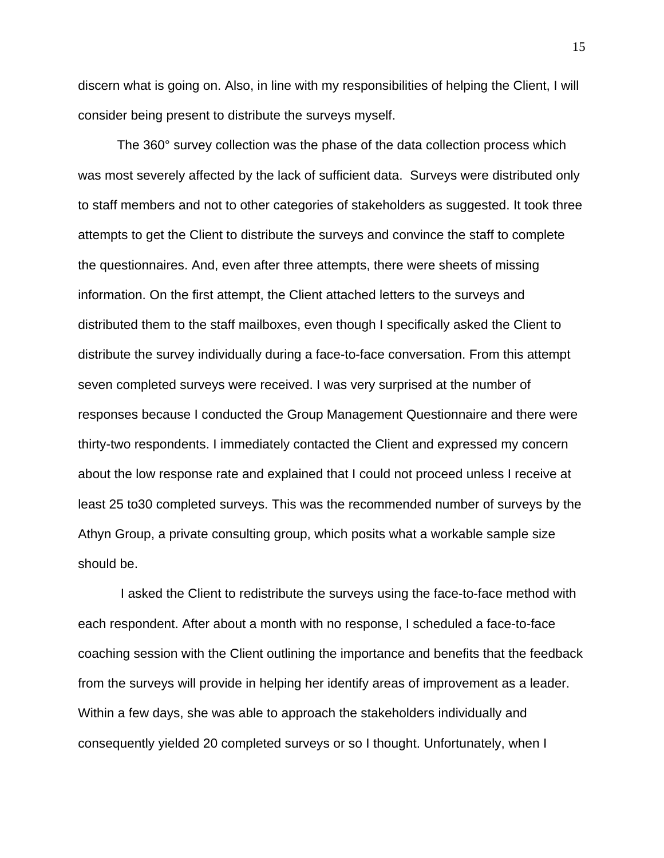discern what is going on. Also, in line with my responsibilities of helping the Client, I will consider being present to distribute the surveys myself.

The 360° survey collection was the phase of the data collection process which was most severely affected by the lack of sufficient data. Surveys were distributed only to staff members and not to other categories of stakeholders as suggested. It took three attempts to get the Client to distribute the surveys and convince the staff to complete the questionnaires. And, even after three attempts, there were sheets of missing information. On the first attempt, the Client attached letters to the surveys and distributed them to the staff mailboxes, even though I specifically asked the Client to distribute the survey individually during a face-to-face conversation. From this attempt seven completed surveys were received. I was very surprised at the number of responses because I conducted the Group Management Questionnaire and there were thirty-two respondents. I immediately contacted the Client and expressed my concern about the low response rate and explained that I could not proceed unless I receive at least 25 to30 completed surveys. This was the recommended number of surveys by the Athyn Group, a private consulting group, which posits what a workable sample size should be.

 I asked the Client to redistribute the surveys using the face-to-face method with each respondent. After about a month with no response, I scheduled a face-to-face coaching session with the Client outlining the importance and benefits that the feedback from the surveys will provide in helping her identify areas of improvement as a leader. Within a few days, she was able to approach the stakeholders individually and consequently yielded 20 completed surveys or so I thought. Unfortunately, when I

15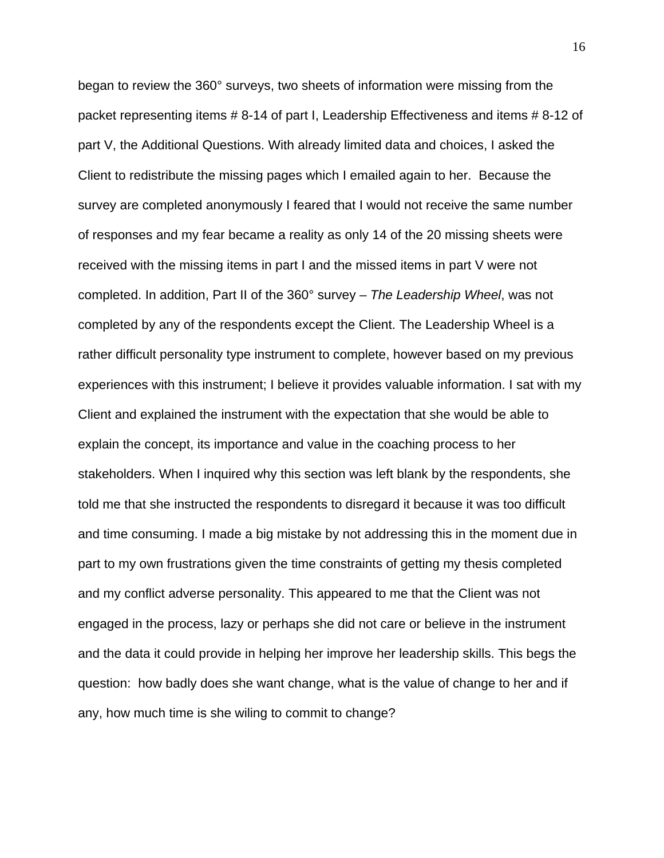began to review the 360° surveys, two sheets of information were missing from the packet representing items # 8-14 of part I, Leadership Effectiveness and items # 8-12 of part V, the Additional Questions. With already limited data and choices, I asked the Client to redistribute the missing pages which I emailed again to her. Because the survey are completed anonymously I feared that I would not receive the same number of responses and my fear became a reality as only 14 of the 20 missing sheets were received with the missing items in part I and the missed items in part V were not completed. In addition, Part II of the 360° survey – *The Leadership Wheel*, was not completed by any of the respondents except the Client. The Leadership Wheel is a rather difficult personality type instrument to complete, however based on my previous experiences with this instrument; I believe it provides valuable information. I sat with my Client and explained the instrument with the expectation that she would be able to explain the concept, its importance and value in the coaching process to her stakeholders. When I inquired why this section was left blank by the respondents, she told me that she instructed the respondents to disregard it because it was too difficult and time consuming. I made a big mistake by not addressing this in the moment due in part to my own frustrations given the time constraints of getting my thesis completed and my conflict adverse personality. This appeared to me that the Client was not engaged in the process, lazy or perhaps she did not care or believe in the instrument and the data it could provide in helping her improve her leadership skills. This begs the question: how badly does she want change, what is the value of change to her and if any, how much time is she wiling to commit to change?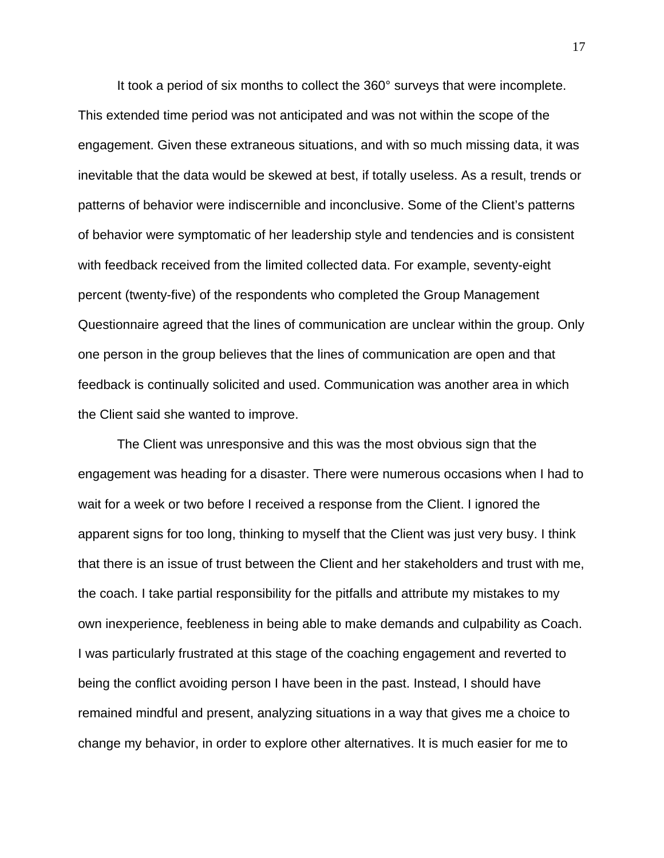It took a period of six months to collect the 360° surveys that were incomplete. This extended time period was not anticipated and was not within the scope of the engagement. Given these extraneous situations, and with so much missing data, it was inevitable that the data would be skewed at best, if totally useless. As a result, trends or patterns of behavior were indiscernible and inconclusive. Some of the Client's patterns of behavior were symptomatic of her leadership style and tendencies and is consistent with feedback received from the limited collected data. For example, seventy-eight percent (twenty-five) of the respondents who completed the Group Management Questionnaire agreed that the lines of communication are unclear within the group. Only one person in the group believes that the lines of communication are open and that feedback is continually solicited and used. Communication was another area in which the Client said she wanted to improve.

The Client was unresponsive and this was the most obvious sign that the engagement was heading for a disaster. There were numerous occasions when I had to wait for a week or two before I received a response from the Client. I ignored the apparent signs for too long, thinking to myself that the Client was just very busy. I think that there is an issue of trust between the Client and her stakeholders and trust with me, the coach. I take partial responsibility for the pitfalls and attribute my mistakes to my own inexperience, feebleness in being able to make demands and culpability as Coach. I was particularly frustrated at this stage of the coaching engagement and reverted to being the conflict avoiding person I have been in the past. Instead, I should have remained mindful and present, analyzing situations in a way that gives me a choice to change my behavior, in order to explore other alternatives. It is much easier for me to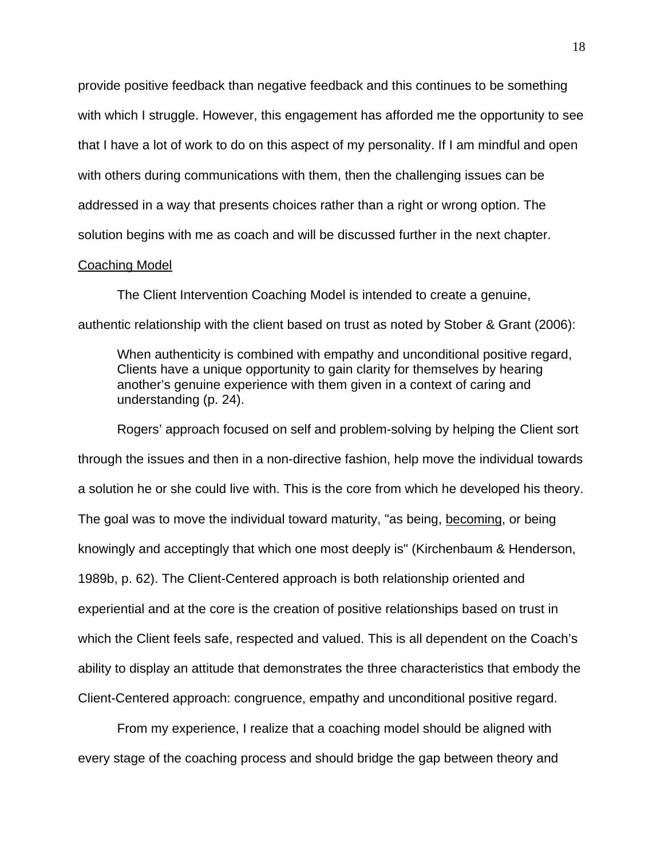provide positive feedback than negative feedback and this continues to be something with which I struggle. However, this engagement has afforded me the opportunity to see that I have a lot of work to do on this aspect of my personality. If I am mindful and open with others during communications with them, then the challenging issues can be addressed in a way that presents choices rather than a right or wrong option. The solution begins with me as coach and will be discussed further in the next chapter.

#### Coaching Model

The Client Intervention Coaching Model is intended to create a genuine, authentic relationship with the client based on trust as noted by Stober & Grant (2006):

When authenticity is combined with empathy and unconditional positive regard, Clients have a unique opportunity to gain clarity for themselves by hearing another's genuine experience with them given in a context of caring and understanding (p. 24).

Rogers' approach focused on self and problem-solving by helping the Client sort through the issues and then in a non-directive fashion, help move the individual towards a solution he or she could live with. This is the core from which he developed his theory. The goal was to move the individual toward maturity, "as being, becoming, or being knowingly and acceptingly that which one most deeply is" (Kirchenbaum & Henderson, 1989b, p. 62). The Client-Centered approach is both relationship oriented and experiential and at the core is the creation of positive relationships based on trust in which the Client feels safe, respected and valued. This is all dependent on the Coach's ability to display an attitude that demonstrates the three characteristics that embody the Client-Centered approach: congruence, empathy and unconditional positive regard.

From my experience, I realize that a coaching model should be aligned with every stage of the coaching process and should bridge the gap between theory and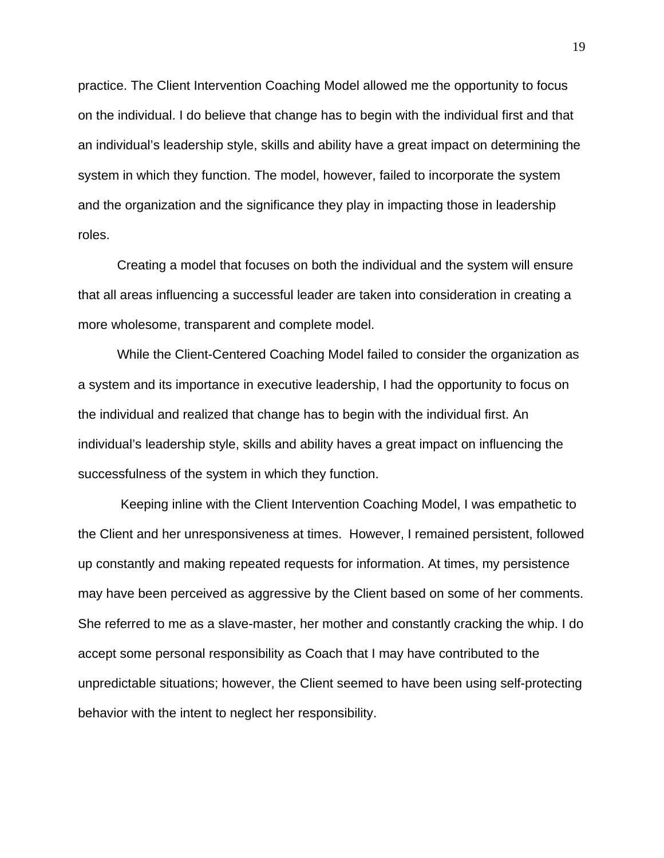practice. The Client Intervention Coaching Model allowed me the opportunity to focus on the individual. I do believe that change has to begin with the individual first and that an individual's leadership style, skills and ability have a great impact on determining the system in which they function. The model, however, failed to incorporate the system and the organization and the significance they play in impacting those in leadership roles.

Creating a model that focuses on both the individual and the system will ensure that all areas influencing a successful leader are taken into consideration in creating a more wholesome, transparent and complete model.

While the Client-Centered Coaching Model failed to consider the organization as a system and its importance in executive leadership, I had the opportunity to focus on the individual and realized that change has to begin with the individual first. An individual's leadership style, skills and ability haves a great impact on influencing the successfulness of the system in which they function.

 Keeping inline with the Client Intervention Coaching Model, I was empathetic to the Client and her unresponsiveness at times. However, I remained persistent, followed up constantly and making repeated requests for information. At times, my persistence may have been perceived as aggressive by the Client based on some of her comments. She referred to me as a slave-master, her mother and constantly cracking the whip. I do accept some personal responsibility as Coach that I may have contributed to the unpredictable situations; however, the Client seemed to have been using self-protecting behavior with the intent to neglect her responsibility.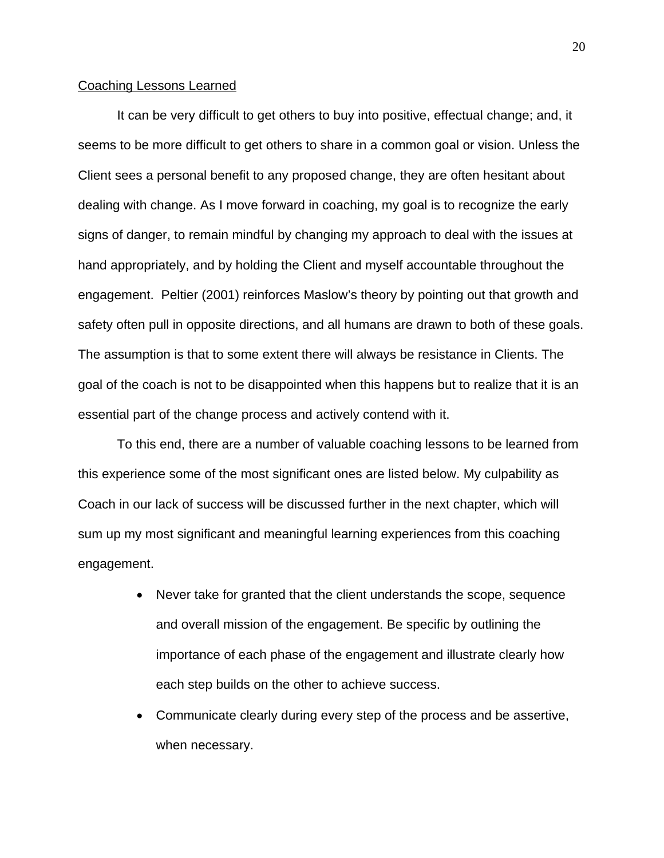#### Coaching Lessons Learned

It can be very difficult to get others to buy into positive, effectual change; and, it seems to be more difficult to get others to share in a common goal or vision. Unless the Client sees a personal benefit to any proposed change, they are often hesitant about dealing with change. As I move forward in coaching, my goal is to recognize the early signs of danger, to remain mindful by changing my approach to deal with the issues at hand appropriately, and by holding the Client and myself accountable throughout the engagement. Peltier (2001) reinforces Maslow's theory by pointing out that growth and safety often pull in opposite directions, and all humans are drawn to both of these goals. The assumption is that to some extent there will always be resistance in Clients. The goal of the coach is not to be disappointed when this happens but to realize that it is an essential part of the change process and actively contend with it.

To this end, there are a number of valuable coaching lessons to be learned from this experience some of the most significant ones are listed below. My culpability as Coach in our lack of success will be discussed further in the next chapter, which will sum up my most significant and meaningful learning experiences from this coaching engagement.

- Never take for granted that the client understands the scope, sequence and overall mission of the engagement. Be specific by outlining the importance of each phase of the engagement and illustrate clearly how each step builds on the other to achieve success.
- Communicate clearly during every step of the process and be assertive, when necessary.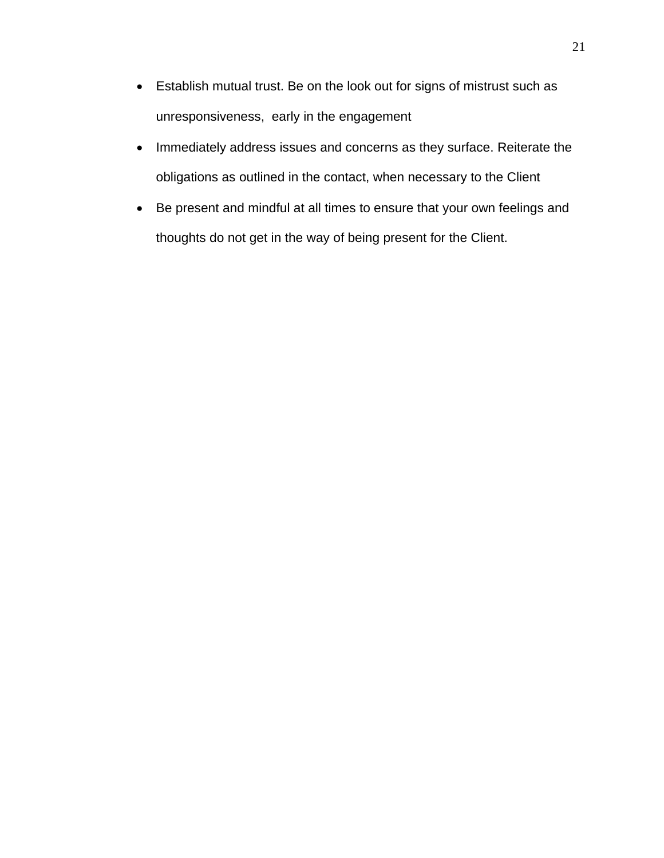- Establish mutual trust. Be on the look out for signs of mistrust such as unresponsiveness, early in the engagement
- Immediately address issues and concerns as they surface. Reiterate the obligations as outlined in the contact, when necessary to the Client
- Be present and mindful at all times to ensure that your own feelings and thoughts do not get in the way of being present for the Client.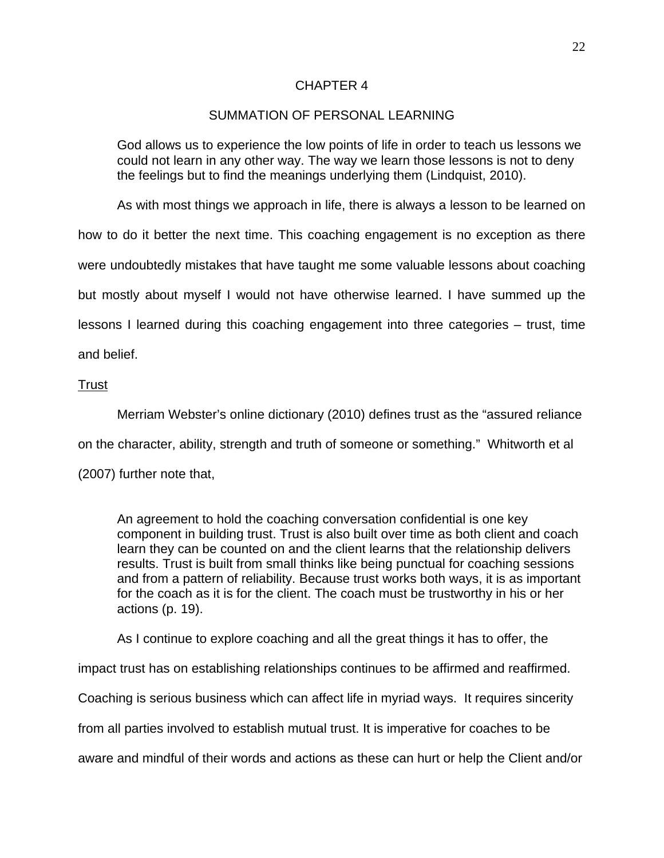## CHAPTER 4

## SUMMATION OF PERSONAL LEARNING

God allows us to experience the low points of life in order to teach us lessons we could not learn in any other way. The way we learn those lessons is not to deny the feelings but to find the meanings underlying them (Lindquist, 2010).

As with most things we approach in life, there is always a lesson to be learned on

how to do it better the next time. This coaching engagement is no exception as there were undoubtedly mistakes that have taught me some valuable lessons about coaching but mostly about myself I would not have otherwise learned. I have summed up the lessons I learned during this coaching engagement into three categories – trust, time and belief.

Trust

Merriam Webster's online dictionary (2010) defines trust as the "assured reliance on the character, ability, strength and truth of someone or something." Whitworth et al (2007) further note that,

An agreement to hold the coaching conversation confidential is one key component in building trust. Trust is also built over time as both client and coach learn they can be counted on and the client learns that the relationship delivers results. Trust is built from small thinks like being punctual for coaching sessions and from a pattern of reliability. Because trust works both ways, it is as important for the coach as it is for the client. The coach must be trustworthy in his or her actions (p. 19).

As I continue to explore coaching and all the great things it has to offer, the

impact trust has on establishing relationships continues to be affirmed and reaffirmed.

Coaching is serious business which can affect life in myriad ways. It requires sincerity

from all parties involved to establish mutual trust. It is imperative for coaches to be

aware and mindful of their words and actions as these can hurt or help the Client and/or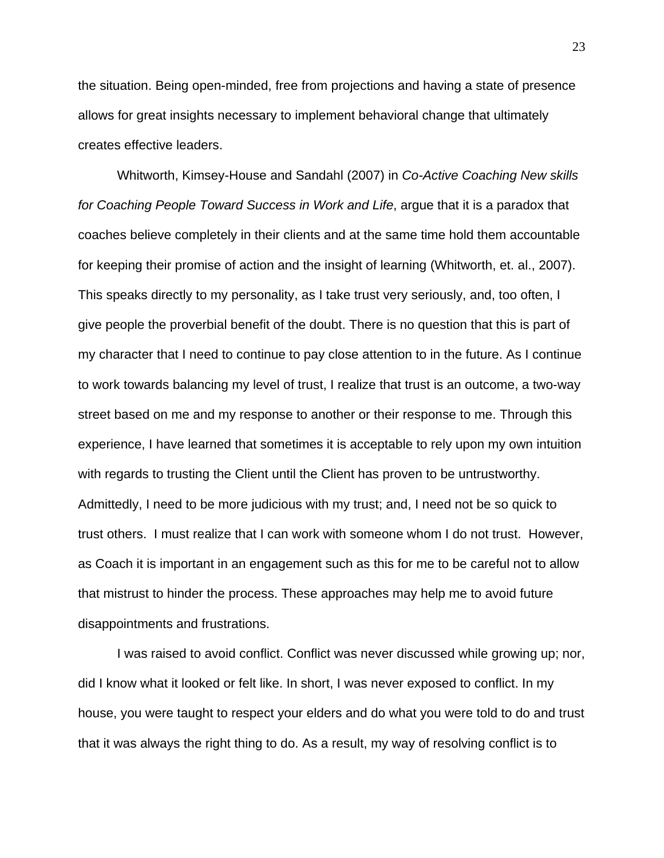the situation. Being open-minded, free from projections and having a state of presence allows for great insights necessary to implement behavioral change that ultimately creates effective leaders.

Whitworth, Kimsey-House and Sandahl (2007) in *Co-Active Coaching New skills for Coaching People Toward Success in Work and Life*, argue that it is a paradox that coaches believe completely in their clients and at the same time hold them accountable for keeping their promise of action and the insight of learning (Whitworth, et. al., 2007). This speaks directly to my personality, as I take trust very seriously, and, too often, I give people the proverbial benefit of the doubt. There is no question that this is part of my character that I need to continue to pay close attention to in the future. As I continue to work towards balancing my level of trust, I realize that trust is an outcome, a two-way street based on me and my response to another or their response to me. Through this experience, I have learned that sometimes it is acceptable to rely upon my own intuition with regards to trusting the Client until the Client has proven to be untrustworthy. Admittedly, I need to be more judicious with my trust; and, I need not be so quick to trust others. I must realize that I can work with someone whom I do not trust. However, as Coach it is important in an engagement such as this for me to be careful not to allow that mistrust to hinder the process. These approaches may help me to avoid future disappointments and frustrations.

I was raised to avoid conflict. Conflict was never discussed while growing up; nor, did I know what it looked or felt like. In short, I was never exposed to conflict. In my house, you were taught to respect your elders and do what you were told to do and trust that it was always the right thing to do. As a result, my way of resolving conflict is to

23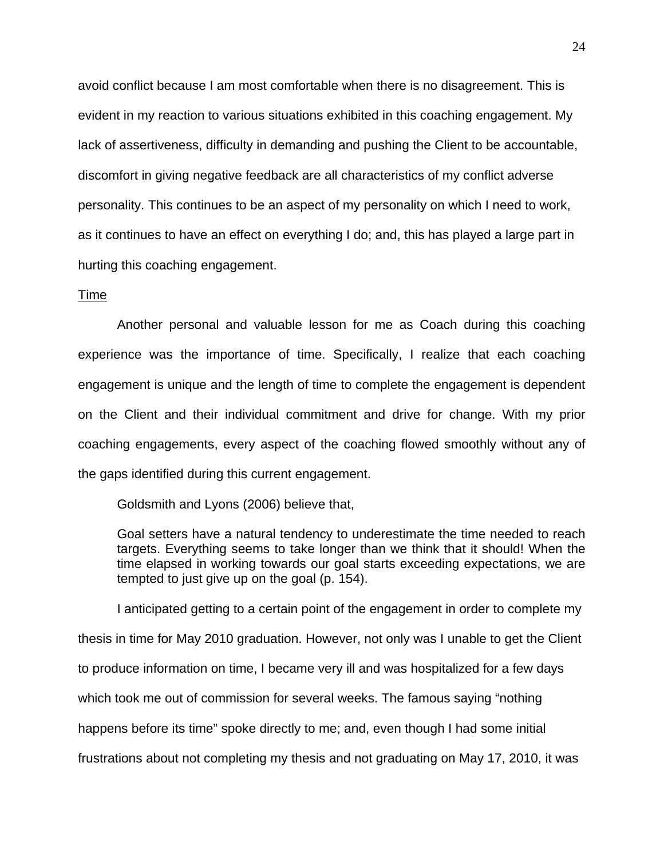avoid conflict because I am most comfortable when there is no disagreement. This is evident in my reaction to various situations exhibited in this coaching engagement. My lack of assertiveness, difficulty in demanding and pushing the Client to be accountable, discomfort in giving negative feedback are all characteristics of my conflict adverse personality. This continues to be an aspect of my personality on which I need to work, as it continues to have an effect on everything I do; and, this has played a large part in hurting this coaching engagement.

#### Time

Another personal and valuable lesson for me as Coach during this coaching experience was the importance of time. Specifically, I realize that each coaching engagement is unique and the length of time to complete the engagement is dependent on the Client and their individual commitment and drive for change. With my prior coaching engagements, every aspect of the coaching flowed smoothly without any of the gaps identified during this current engagement.

Goldsmith and Lyons (2006) believe that,

Goal setters have a natural tendency to underestimate the time needed to reach targets. Everything seems to take longer than we think that it should! When the time elapsed in working towards our goal starts exceeding expectations, we are tempted to just give up on the goal (p. 154).

I anticipated getting to a certain point of the engagement in order to complete my thesis in time for May 2010 graduation. However, not only was I unable to get the Client to produce information on time, I became very ill and was hospitalized for a few days which took me out of commission for several weeks. The famous saying "nothing happens before its time" spoke directly to me; and, even though I had some initial frustrations about not completing my thesis and not graduating on May 17, 2010, it was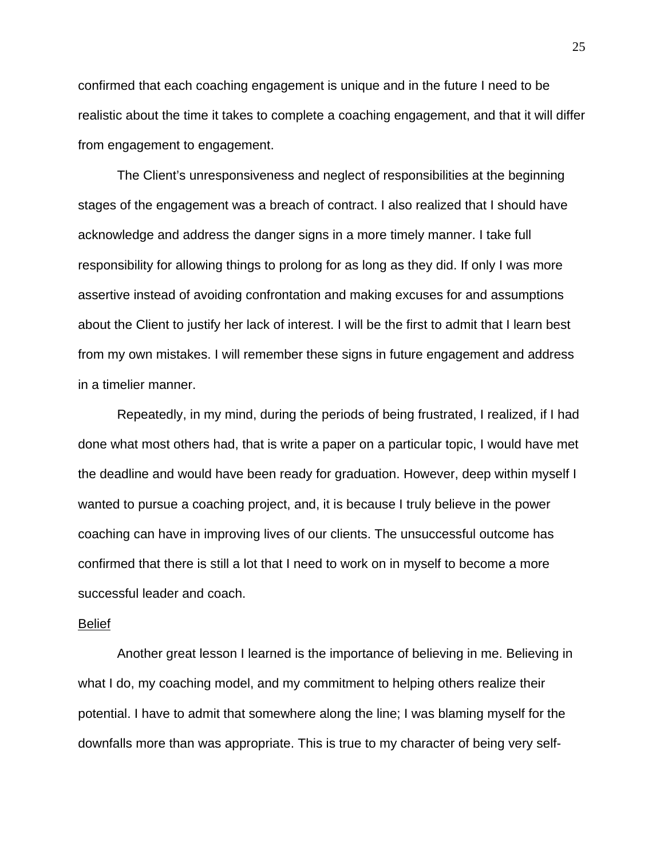confirmed that each coaching engagement is unique and in the future I need to be realistic about the time it takes to complete a coaching engagement, and that it will differ from engagement to engagement.

The Client's unresponsiveness and neglect of responsibilities at the beginning stages of the engagement was a breach of contract. I also realized that I should have acknowledge and address the danger signs in a more timely manner. I take full responsibility for allowing things to prolong for as long as they did. If only I was more assertive instead of avoiding confrontation and making excuses for and assumptions about the Client to justify her lack of interest. I will be the first to admit that I learn best from my own mistakes. I will remember these signs in future engagement and address in a timelier manner.

Repeatedly, in my mind, during the periods of being frustrated, I realized, if I had done what most others had, that is write a paper on a particular topic, I would have met the deadline and would have been ready for graduation. However, deep within myself I wanted to pursue a coaching project, and, it is because I truly believe in the power coaching can have in improving lives of our clients. The unsuccessful outcome has confirmed that there is still a lot that I need to work on in myself to become a more successful leader and coach.

#### Belief

Another great lesson I learned is the importance of believing in me. Believing in what I do, my coaching model, and my commitment to helping others realize their potential. I have to admit that somewhere along the line; I was blaming myself for the downfalls more than was appropriate. This is true to my character of being very self-

25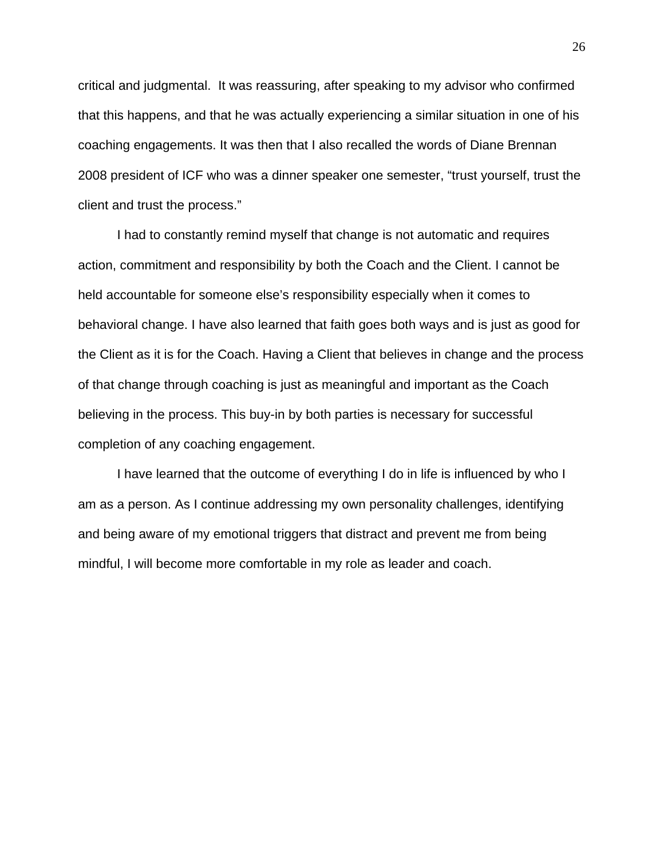critical and judgmental. It was reassuring, after speaking to my advisor who confirmed that this happens, and that he was actually experiencing a similar situation in one of his coaching engagements. It was then that I also recalled the words of Diane Brennan 2008 president of ICF who was a dinner speaker one semester, "trust yourself, trust the client and trust the process."

I had to constantly remind myself that change is not automatic and requires action, commitment and responsibility by both the Coach and the Client. I cannot be held accountable for someone else's responsibility especially when it comes to behavioral change. I have also learned that faith goes both ways and is just as good for the Client as it is for the Coach. Having a Client that believes in change and the process of that change through coaching is just as meaningful and important as the Coach believing in the process. This buy-in by both parties is necessary for successful completion of any coaching engagement.

 I have learned that the outcome of everything I do in life is influenced by who I am as a person. As I continue addressing my own personality challenges, identifying and being aware of my emotional triggers that distract and prevent me from being mindful, I will become more comfortable in my role as leader and coach.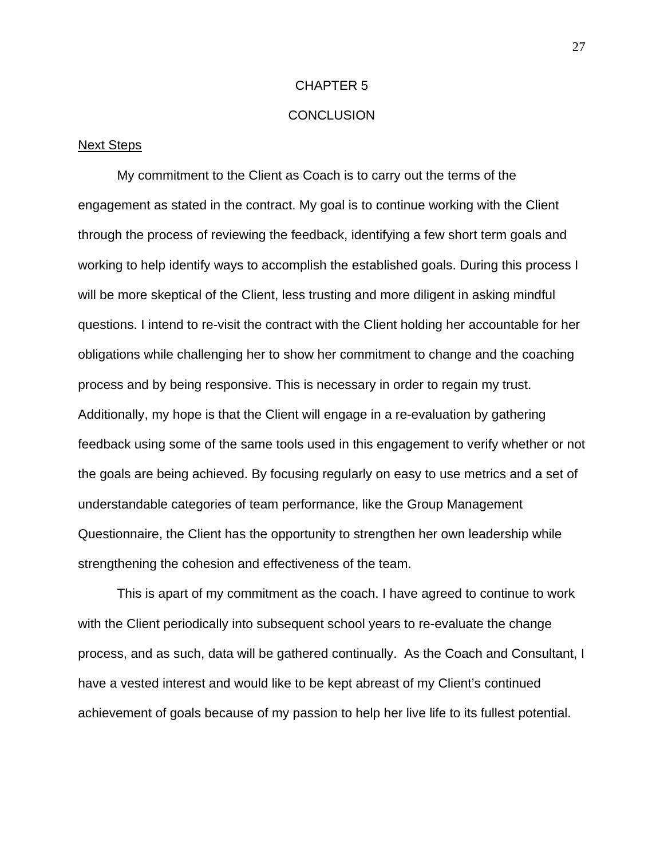#### CHAPTER 5

#### **CONCLUSION**

#### Next Steps

 My commitment to the Client as Coach is to carry out the terms of the engagement as stated in the contract. My goal is to continue working with the Client through the process of reviewing the feedback, identifying a few short term goals and working to help identify ways to accomplish the established goals. During this process I will be more skeptical of the Client, less trusting and more diligent in asking mindful questions. I intend to re-visit the contract with the Client holding her accountable for her obligations while challenging her to show her commitment to change and the coaching process and by being responsive. This is necessary in order to regain my trust. Additionally, my hope is that the Client will engage in a re-evaluation by gathering feedback using some of the same tools used in this engagement to verify whether or not the goals are being achieved. By focusing regularly on easy to use metrics and a set of understandable categories of team performance, like the Group Management Questionnaire, the Client has the opportunity to strengthen her own leadership while strengthening the cohesion and effectiveness of the team.

This is apart of my commitment as the coach. I have agreed to continue to work with the Client periodically into subsequent school years to re-evaluate the change process, and as such, data will be gathered continually. As the Coach and Consultant, I have a vested interest and would like to be kept abreast of my Client's continued achievement of goals because of my passion to help her live life to its fullest potential.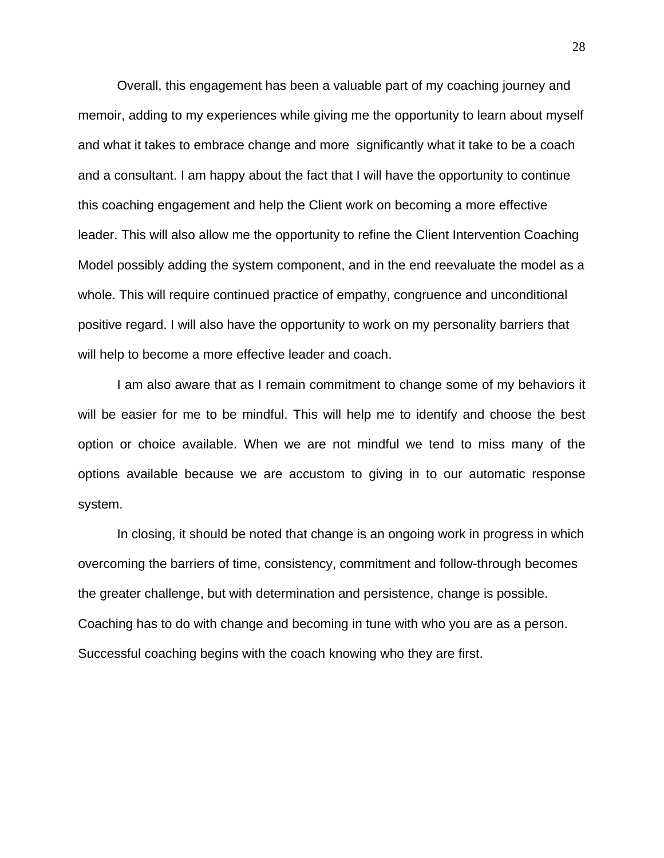Overall, this engagement has been a valuable part of my coaching journey and memoir, adding to my experiences while giving me the opportunity to learn about myself and what it takes to embrace change and more significantly what it take to be a coach and a consultant. I am happy about the fact that I will have the opportunity to continue this coaching engagement and help the Client work on becoming a more effective leader. This will also allow me the opportunity to refine the Client Intervention Coaching Model possibly adding the system component, and in the end reevaluate the model as a whole. This will require continued practice of empathy, congruence and unconditional positive regard. I will also have the opportunity to work on my personality barriers that will help to become a more effective leader and coach.

I am also aware that as I remain commitment to change some of my behaviors it will be easier for me to be mindful. This will help me to identify and choose the best option or choice available. When we are not mindful we tend to miss many of the options available because we are accustom to giving in to our automatic response system.

In closing, it should be noted that change is an ongoing work in progress in which overcoming the barriers of time, consistency, commitment and follow-through becomes the greater challenge, but with determination and persistence, change is possible. Coaching has to do with change and becoming in tune with who you are as a person. Successful coaching begins with the coach knowing who they are first.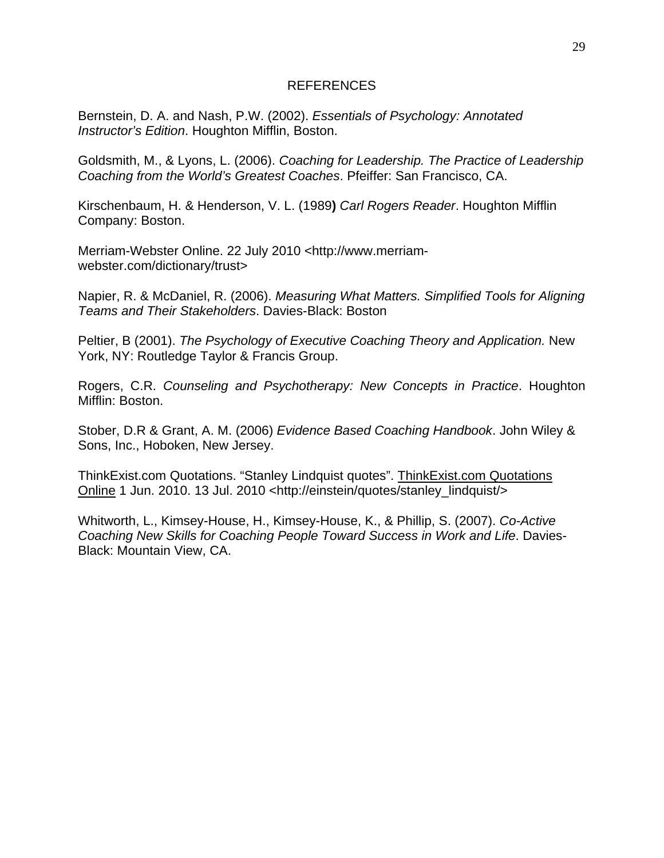#### REFERENCES

Bernstein, D. A. and Nash, P.W. (2002). *Essentials of Psychology: Annotated Instructor's Edition*. Houghton Mifflin, Boston.

Goldsmith, M., & Lyons, L. (2006). *Coaching for Leadership. The Practice of Leadership Coaching from the World's Greatest Coaches*. Pfeiffer: San Francisco, CA.

Kirschenbaum, H. & Henderson, V. L. (1989**)** *Carl Rogers Reader*. Houghton Mifflin Company: Boston.

Merriam-Webster Online. 22 July 2010 <http://www.merriamwebster.com/dictionary/trust>

Napier, R. & McDaniel, R. (2006). *Measuring What Matters. Simplified Tools for Aligning Teams and Their Stakeholders*. Davies-Black: Boston

Peltier, B (2001). *The Psychology of Executive Coaching Theory and Application.* New York, NY: Routledge Taylor & Francis Group.

Rogers, C.R. *Counseling and Psychotherapy: New Concepts in Practice*. Houghton Mifflin: Boston.

Stober, D.R & Grant, A. M. (2006) *Evidence Based Coaching Handbook*. John Wiley & Sons, Inc., Hoboken, New Jersey.

ThinkExist.com Quotations. "Stanley Lindquist quotes". ThinkExist.com Quotations Online 1 Jun. 2010. 13 Jul. 2010 <http://einstein/quotes/stanley\_lindquist/>

Whitworth, L., Kimsey-House, H., Kimsey-House, K., & Phillip, S. (2007). *Co-Active Coaching New Skills for Coaching People Toward Success in Work and Life*. Davies-Black: Mountain View, CA.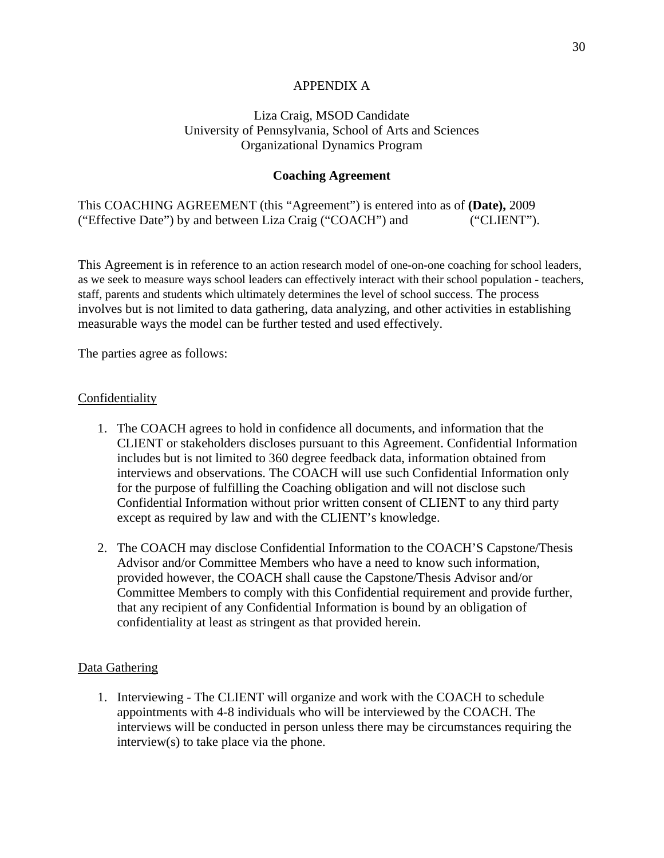## APPENDIX A

## Liza Craig, MSOD Candidate University of Pennsylvania, School of Arts and Sciences Organizational Dynamics Program

## **Coaching Agreement**

This COACHING AGREEMENT (this "Agreement") is entered into as of **(Date),** 2009 ("Effective Date") by and between Liza Craig ("COACH") and ("CLIENT").

This Agreement is in reference to an action research model of one-on-one coaching for school leaders, as we seek to measure ways school leaders can effectively interact with their school population - teachers, staff, parents and students which ultimately determines the level of school success. The process involves but is not limited to data gathering, data analyzing, and other activities in establishing measurable ways the model can be further tested and used effectively.

The parties agree as follows:

### **Confidentiality**

- 1. The COACH agrees to hold in confidence all documents, and information that the CLIENT or stakeholders discloses pursuant to this Agreement. Confidential Information includes but is not limited to 360 degree feedback data, information obtained from interviews and observations. The COACH will use such Confidential Information only for the purpose of fulfilling the Coaching obligation and will not disclose such Confidential Information without prior written consent of CLIENT to any third party except as required by law and with the CLIENT's knowledge.
- 2. The COACH may disclose Confidential Information to the COACH'S Capstone/Thesis Advisor and/or Committee Members who have a need to know such information, provided however, the COACH shall cause the Capstone/Thesis Advisor and/or Committee Members to comply with this Confidential requirement and provide further, that any recipient of any Confidential Information is bound by an obligation of confidentiality at least as stringent as that provided herein.

## Data Gathering

1. Interviewing - The CLIENT will organize and work with the COACH to schedule appointments with 4-8 individuals who will be interviewed by the COACH. The interviews will be conducted in person unless there may be circumstances requiring the interview(s) to take place via the phone.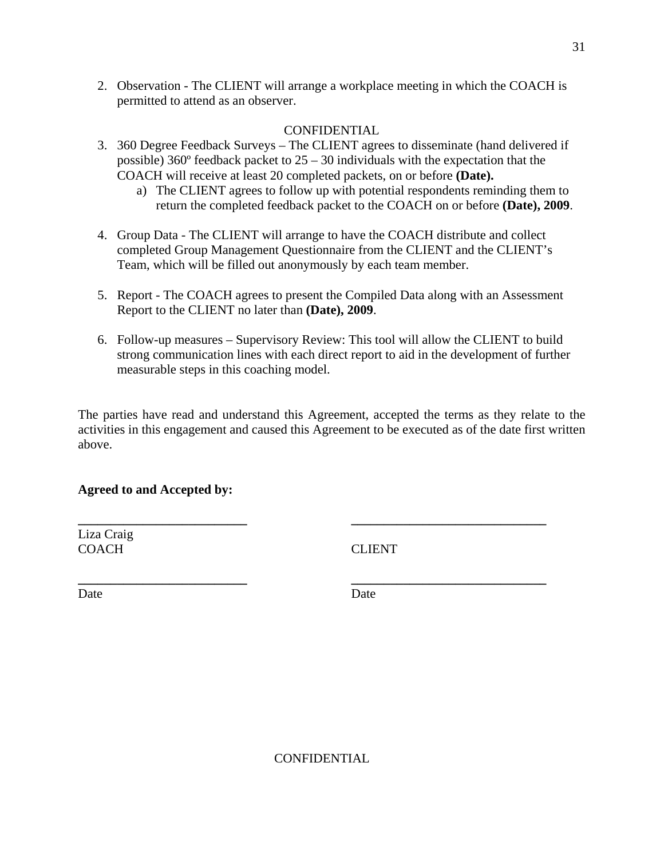## CONFIDENTIAL

- 3. 360 Degree Feedback Surveys The CLIENT agrees to disseminate (hand delivered if possible) 360 $\degree$  feedback packet to 25 – 30 individuals with the expectation that the COACH will receive at least 20 completed packets, on or before **(Date).** 
	- a) The CLIENT agrees to follow up with potential respondents reminding them to return the completed feedback packet to the COACH on or before **(Date), 2009**.
- 4. Group Data The CLIENT will arrange to have the COACH distribute and collect completed Group Management Questionnaire from the CLIENT and the CLIENT's Team, which will be filled out anonymously by each team member.
- 5. Report The COACH agrees to present the Compiled Data along with an Assessment Report to the CLIENT no later than **(Date), 2009**.
- 6. Follow-up measures Supervisory Review: This tool will allow the CLIENT to build strong communication lines with each direct report to aid in the development of further measurable steps in this coaching model.

The parties have read and understand this Agreement, accepted the terms as they relate to the activities in this engagement and caused this Agreement to be executed as of the date first written above.

**\_\_\_\_\_\_\_\_\_\_\_\_\_\_\_\_\_\_\_\_\_\_\_\_\_\_ \_\_\_\_\_\_\_\_\_\_\_\_\_\_\_\_\_\_\_\_\_\_\_\_\_\_\_\_\_\_** 

## **Agreed to and Accepted by:**

Liza Craig COACH CLIENT

Date Date Date

**\_\_\_\_\_\_\_\_\_\_\_\_\_\_\_\_\_\_\_\_\_\_\_\_\_\_ \_\_\_\_\_\_\_\_\_\_\_\_\_\_\_\_\_\_\_\_\_\_\_\_\_\_\_\_\_\_** 

**CONFIDENTIAL**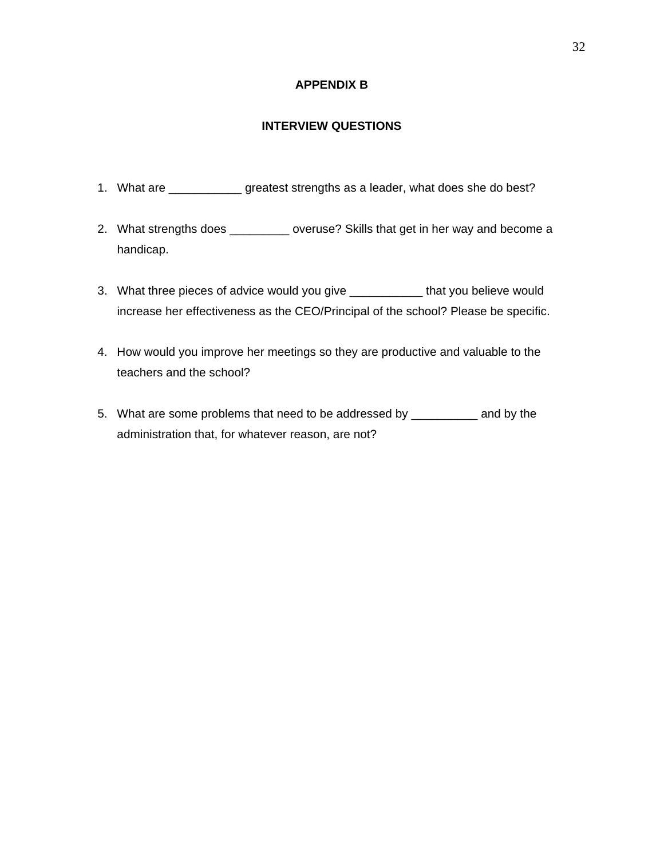#### **APPENDIX B**

## **INTERVIEW QUESTIONS**

- 1. What are \_\_\_\_\_\_\_\_\_\_\_ greatest strengths as a leader, what does she do best?
- 2. What strengths does \_\_\_\_\_\_\_\_\_ overuse? Skills that get in her way and become a handicap.
- 3. What three pieces of advice would you give \_\_\_\_\_\_\_\_\_\_\_ that you believe would increase her effectiveness as the CEO/Principal of the school? Please be specific.
- 4. How would you improve her meetings so they are productive and valuable to the teachers and the school?
- 5. What are some problems that need to be addressed by \_\_\_\_\_\_\_\_\_\_ and by the administration that, for whatever reason, are not?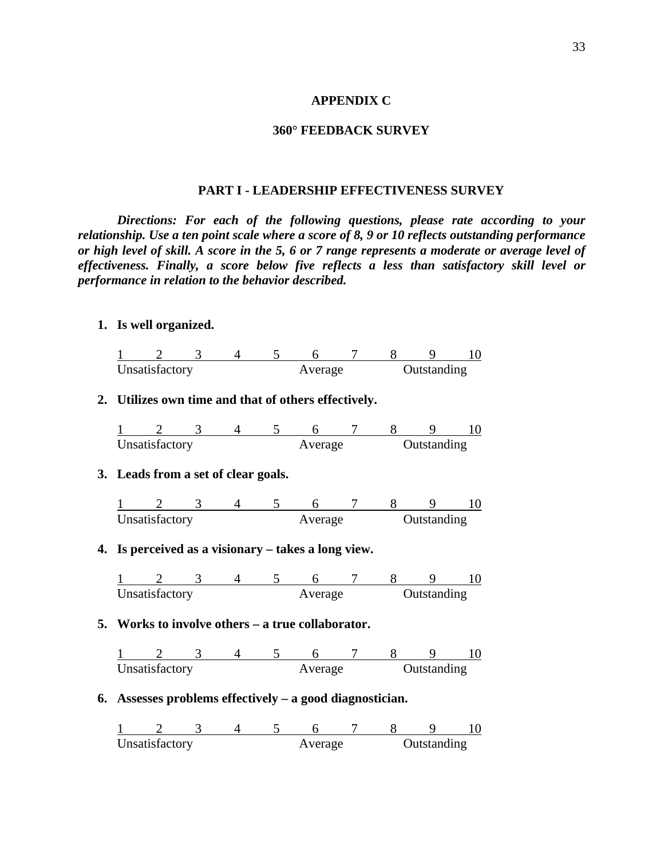#### **APPENDIX C**

#### **360° FEEDBACK SURVEY**

#### **PART I - LEADERSHIP EFFECTIVENESS SURVEY**

*Directions: For each of the following questions, please rate according to your relationship. Use a ten point scale where a score of 8, 9 or 10 reflects outstanding performance or high level of skill. A score in the 5, 6 or 7 range represents a moderate or average level of effectiveness. Finally, a score below five reflects a less than satisfactory skill level or performance in relation to the behavior described.* 

#### **1. Is well organized.**

| Unsatisfactory |  | A verage |  | .)utstanding |  |
|----------------|--|----------|--|--------------|--|

#### **2. Utilizes own time and that of others effectively.**

| Unsatisfactory |  | Average |  | Outstanding |  |
|----------------|--|---------|--|-------------|--|

#### **3. Leads from a set of clear goals.**

| Unsatisfactory |  | Werage |  | Outstanding |  |
|----------------|--|--------|--|-------------|--|

## **4. Is perceived as a visionary – takes a long view.**

| Unsatisfactory |  | A verage |  | Outstanding |  |
|----------------|--|----------|--|-------------|--|

#### **5. Works to involve others – a true collaborator.**

| Unsatisfactory |  | ™aσe |  | .)utstanding |  |
|----------------|--|------|--|--------------|--|

## **6. Assesses problems effectively – a good diagnostician.**

| Unsatisfactory |  | Average |  | <b>Outstanding</b> |  |
|----------------|--|---------|--|--------------------|--|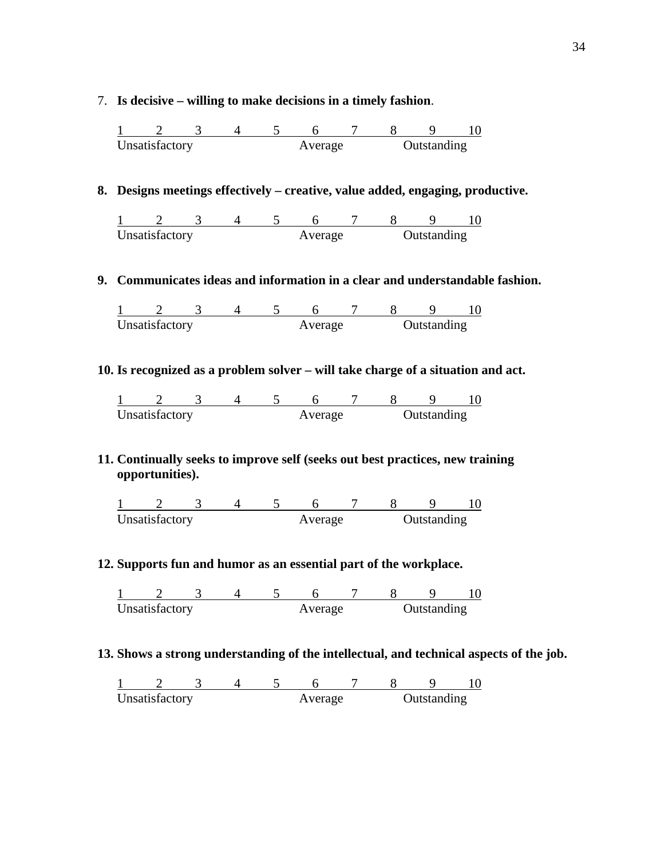#### 7. **Is decisive – willing to make decisions in a timely fashion**.

1 2 3 4 5 6 7 8 9 10 Unsatisfactory Average Outstanding

## **8. Designs meetings effectively – creative, value added, engaging, productive.**

1 2 3 4 5 6 7 8 9 10 Unsatisfactory **Average** Outstanding

## **9. Communicates ideas and information in a clear and understandable fashion.**

| Unsatisfactory |  | Average |  | Outstanding |  |
|----------------|--|---------|--|-------------|--|

#### **10. Is recognized as a problem solver – will take charge of a situation and act.**

| Unsatisfactory |  | Average |  | Outstanding |  |
|----------------|--|---------|--|-------------|--|

## **11. Continually seeks to improve self (seeks out best practices, new training opportunities).**

| Unsatisfactory |  | Average |  | Outstanding |  |
|----------------|--|---------|--|-------------|--|

#### **12. Supports fun and humor as an essential part of the workplace.**

| Unsatisfactory |  | verage |  | <i><u>Intstanding</u></i> |  |
|----------------|--|--------|--|---------------------------|--|

#### **13. Shows a strong understanding of the intellectual, and technical aspects of the job.**

| Unsatisfactory |  | Average |  | <b>Outstanding</b> |  |
|----------------|--|---------|--|--------------------|--|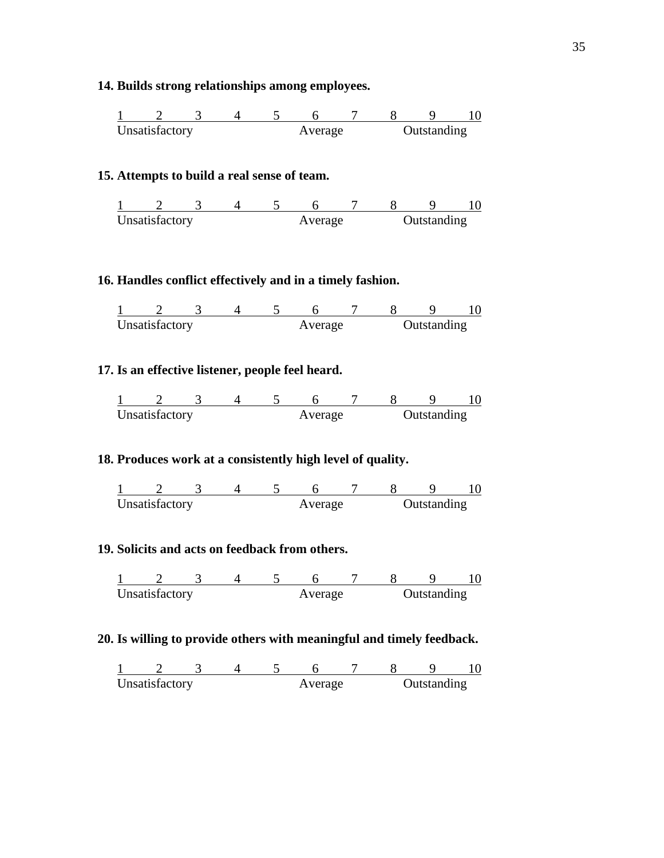## **14. Builds strong relationships among employees.**

1 2 3 4 5 6 7 8 9 10 Unsatisfactory Average Outstanding

#### **15. Attempts to build a real sense of team.**

| Unsatisfactory |  |  |  | Average |  | Outstanding |  |
|----------------|--|--|--|---------|--|-------------|--|

## **16. Handles conflict effectively and in a timely fashion.**

| Unsatisfactory |  |  |  | verage |  | <b>Outstanding</b> |  |
|----------------|--|--|--|--------|--|--------------------|--|

#### **17. Is an effective listener, people feel heard.**

| Unsatisfactory |  | Average |  | Outstanding |  |
|----------------|--|---------|--|-------------|--|

## **18. Produces work at a consistently high level of quality.**

| Unsatisfactory |  | VPT90P |  | .)utstanding |  |
|----------------|--|--------|--|--------------|--|

## **19. Solicits and acts on feedback from others.**

1 2 3 4 5 6 7 8 9 10 Unsatisfactory **Average** Outstanding

#### **20. Is willing to provide others with meaningful and timely feedback.**

| Unsatisfactory |  | Average |  | Outstanding |  |
|----------------|--|---------|--|-------------|--|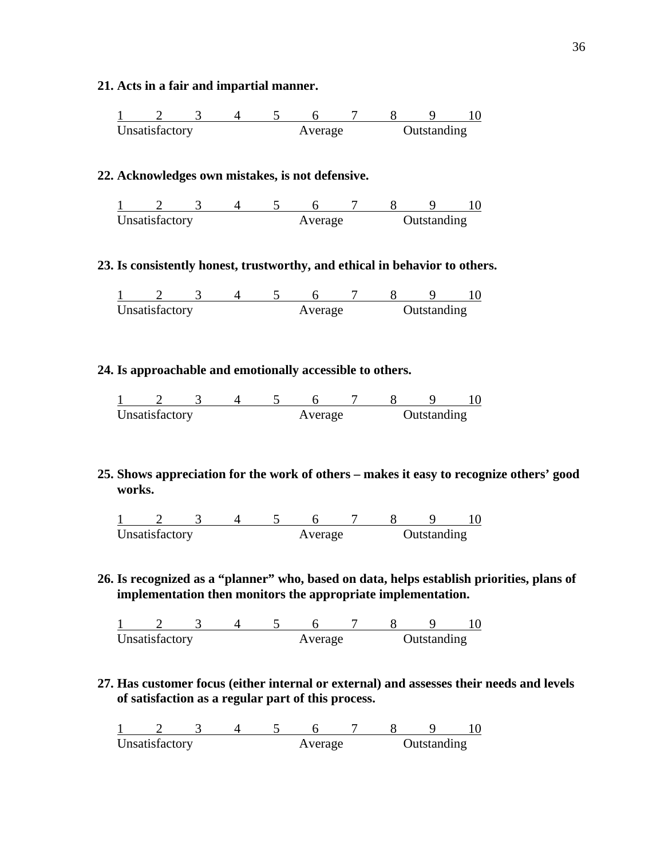#### **21. Acts in a fair and impartial manner.**



#### **22. Acknowledges own mistakes, is not defensive.**

| Unsatisfactory |  |  |  | ച് വര |  | .)utstanding |  |
|----------------|--|--|--|-------|--|--------------|--|

#### **23. Is consistently honest, trustworthy, and ethical in behavior to others.**

| Unsatisfactory |  | Average |  | Outstanding |  |
|----------------|--|---------|--|-------------|--|

#### **24. Is approachable and emotionally accessible to others.**

| Unsatisfactory |  | Average |  | Outstanding |  |
|----------------|--|---------|--|-------------|--|

## **25. Shows appreciation for the work of others – makes it easy to recognize others' good works.**

| Unsatisfactory |  | Average |  | Outstanding |  |
|----------------|--|---------|--|-------------|--|

**26. Is recognized as a "planner" who, based on data, helps establish priorities, plans of implementation then monitors the appropriate implementation.** 

1 2 3 4 5 6 7 8 9 10 Unsatisfactory **Average** Outstanding

**27. Has customer focus (either internal or external) and assesses their needs and levels of satisfaction as a regular part of this process.** 

| Unsatisfactory |  | Average |  | Outstanding |  |
|----------------|--|---------|--|-------------|--|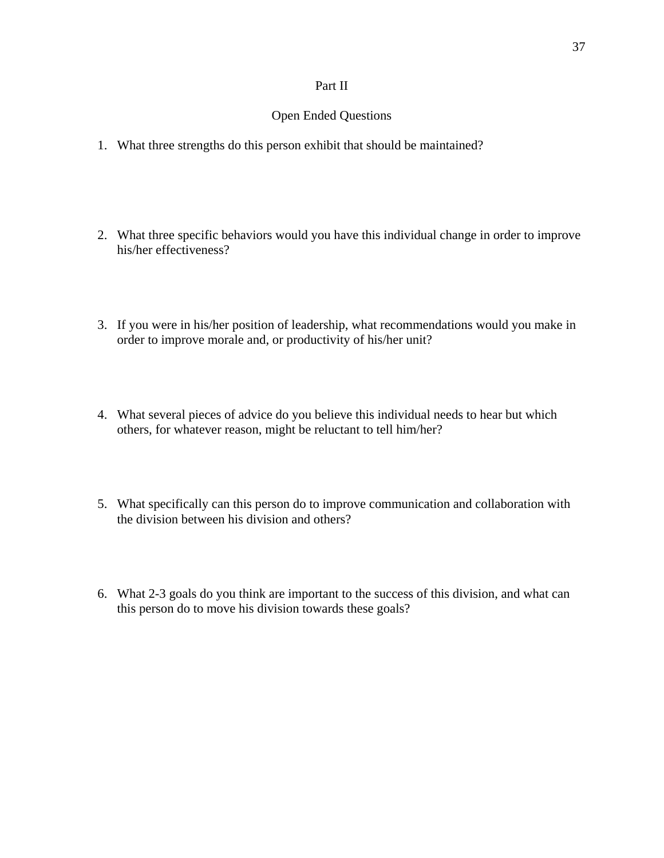## Part II

## Open Ended Questions

- 1. What three strengths do this person exhibit that should be maintained?
- 2. What three specific behaviors would you have this individual change in order to improve his/her effectiveness?
- 3. If you were in his/her position of leadership, what recommendations would you make in order to improve morale and, or productivity of his/her unit?
- 4. What several pieces of advice do you believe this individual needs to hear but which others, for whatever reason, might be reluctant to tell him/her?
- 5. What specifically can this person do to improve communication and collaboration with the division between his division and others?
- 6. What 2-3 goals do you think are important to the success of this division, and what can this person do to move his division towards these goals?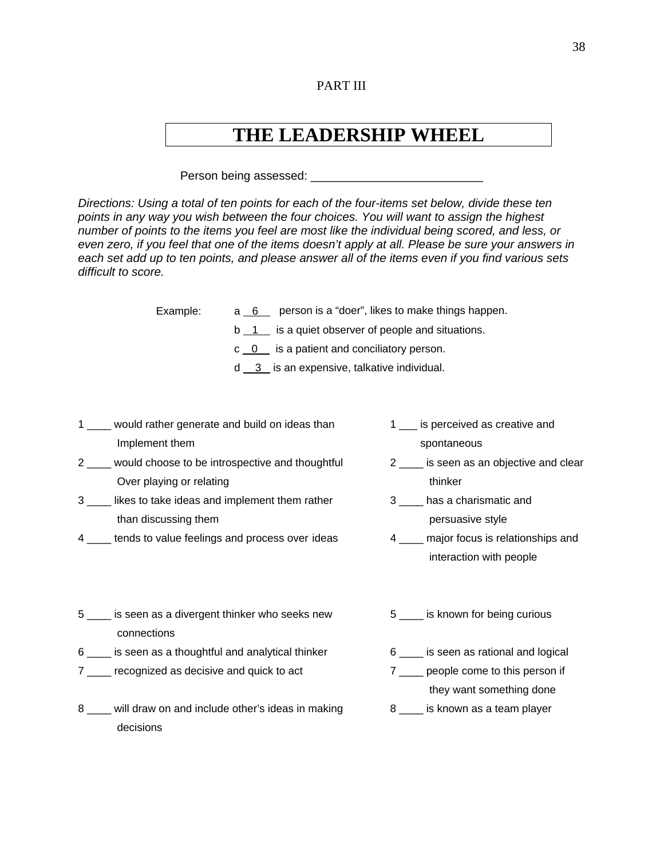#### PART III

# **THE LEADERSHIP WHEEL**

Person being assessed: **Example 2018** 

*Directions: Using a total of ten points for each of the four-items set below, divide these ten points in any way you wish between the four choices. You will want to assign the highest number of points to the items you feel are most like the individual being scored, and less, or even zero, if you feel that one of the items doesn't apply at all. Please be sure your answers in each set add up to ten points, and please answer all of the items even if you find various sets difficult to score.* 

- Example: a 6 person is a "doer", likes to make things happen.
	- b 1 is a quiet observer of people and situations.
	- $c_0$  is a patient and conciliatory person.
	- $d \, 3$  is an expensive, talkative individual.
- 1 b would rather generate and build on ideas than 1 is perceived as creative and Implement them spontaneous and the spontaneous spontaneous
- 2 would choose to be introspective and thoughtful 2 is seen as an objective and clear Over playing or relating thinker
- 3 \_\_\_\_ likes to take ideas and implement them rather 3 \_\_\_\_ has a charismatic and than discussing them persuasive style
- 4 **tends to value feelings and process over ideas** 4 **hallon** major focus is relationships and
- 
- 
- 
- interaction with people
- 5 \_\_\_\_ is seen as a divergent thinker who seeks new 5 \_\_\_\_ is known for being curious connections
- 6 \_\_\_\_ is seen as a thoughtful and analytical thinker 6 \_\_\_\_ is seen as rational and logical
- 7 \_\_\_\_ recognized as decisive and quick to act 7 \_\_\_\_ people come to this person if
- 8 \_\_\_\_ will draw on and include other's ideas in making  $\overline{8}$  \_\_\_ is known as a team player decisions
- 
- 
- they want something done
-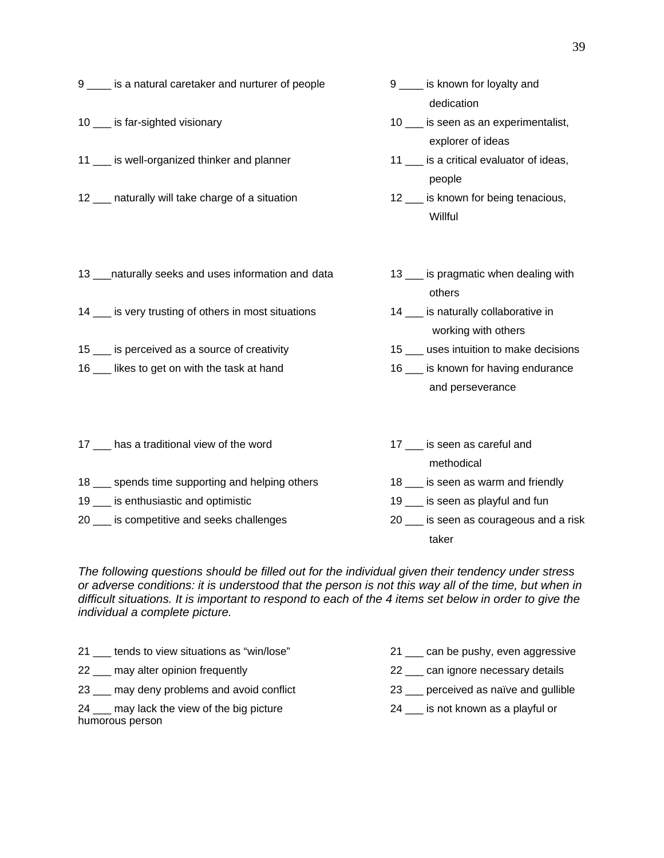|                                                      | dedication                              |
|------------------------------------------------------|-----------------------------------------|
| 10 __ is far-sighted visionary                       | 10 __ is seen as an experimentalist,    |
|                                                      | explorer of ideas                       |
| 11 __ is well-organized thinker and planner          | 11 __ is a critical evaluator of ideas, |
|                                                      | people                                  |
| 12 __ naturally will take charge of a situation      | 12 __ is known for being tenacious,     |
|                                                      | Willful                                 |
|                                                      |                                         |
| 13 ___ naturally seeks and uses information and data | 13 __ is pragmatic when dealing with    |
|                                                      | others                                  |
| 14 __ is very trusting of others in most situations  | 14 __ is naturally collaborative in     |
|                                                      | working with others                     |
| 15 __ is perceived as a source of creativity         | 15 __ uses intuition to make decisions  |
| 16 __ likes to get on with the task at hand          | 16 __ is known for having endurance     |
|                                                      | and perseverance                        |
|                                                      |                                         |
| 17 __ has a traditional view of the word             | 17 __ is seen as careful and            |
|                                                      | methodical                              |
| 18 __ spends time supporting and helping others      | 18 __ is seen as warm and friendly      |
| 19 __ is enthusiastic and optimistic                 | 19 __ is seen as playful and fun        |
| 20 __ is competitive and seeks challenges            | 20 __ is seen as courageous and a risk  |
|                                                      |                                         |

9 \_\_\_\_ is a natural caretaker and nurturer of people  $\qquad \qquad 9$  \_\_\_ is known for loyalty and

*The following questions should be filled out for the individual given their tendency under stress or adverse conditions: it is understood that the person is not this way all of the time, but when in difficult situations. It is important to respond to each of the 4 items set below in order to give the individual a complete picture.* 

21 \_\_\_ tends to view situations as "win/lose" 21 \_\_ can be pushy, even aggressive 22 \_\_\_ may alter opinion frequently 22 \_\_\_ can ignore necessary details

taker and the state of the state of the state of the state of the state of the state of the state of the state

- 23 \_\_\_ may deny problems and avoid conflict 23 \_\_\_ perceived as naïve and gullible
- 24 \_\_\_ may lack the view of the big picture 24 \_\_ is not known as a playful or humorous person
- 
- 
- -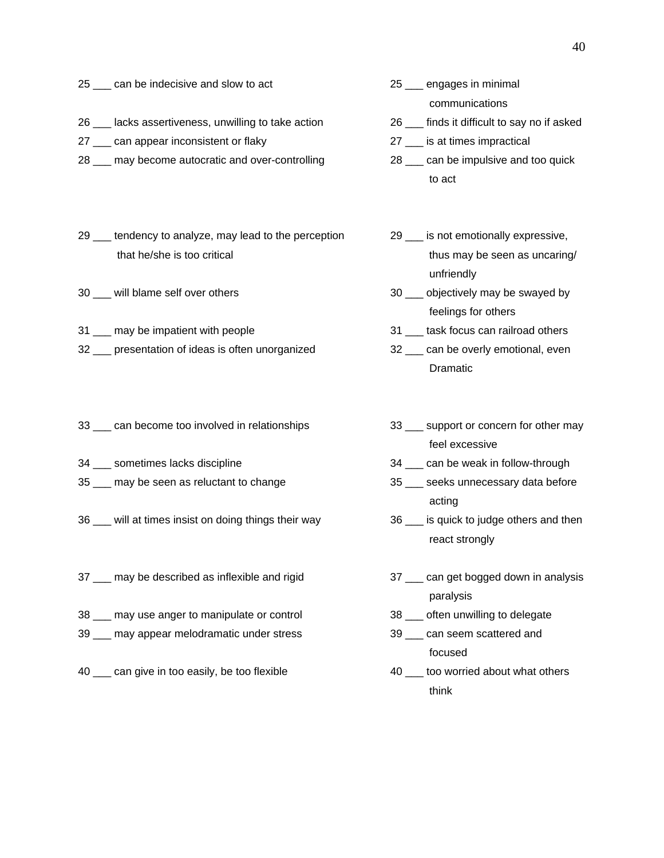- 25 \_\_\_ can be indecisive and slow to act 25 \_\_\_ engages in minimal
- 26 Lacks assertiveness, unwilling to take action 26 finds it difficult to say no if asked
- 27 \_\_\_ can appear inconsistent or flaky 27 \_\_\_ is at times impractical
- 28 \_\_\_ may become autocratic and over-controlling 28 \_\_\_ can be impulsive and too quick
- 29 \_\_\_ tendency to analyze, may lead to the perception 29 \_\_ is not emotionally expressive, that he/she is too critical thus may be seen as uncaring/
- 
- 31 \_\_\_ may be impatient with people 31 \_\_\_ task focus can railroad others
- 32 \_\_\_ presentation of ideas is often unorganized 32 \_\_\_ can be overly emotional, even
- 33 can become too involved in relationships 33 support or concern for other may
- 
- 35 \_\_\_ may be seen as reluctant to change 35 \_\_\_ seeks unnecessary data before
- 36 \_\_\_ will at times insist on doing things their way 36 \_\_ is quick to judge others and then
- 37 \_\_\_ may be described as inflexible and rigid 37 \_\_\_ can get bogged down in analysis
- 38 may use anger to manipulate or control 38 \_\_ often unwilling to delegate
- 39 and may appear melodramatic under stress 39 can seem scattered and
- 40 can give in too easily, be too flexible 40  $\pm$  40 too worried about what others
- communications
- 
- 
- to act the contract of the contract of the contract of the contract of the contract of the contract of the contract of the contract of the contract of the contract of the contract of the contract of the contract of the con
	- unfriendly
- 30 and will blame self over others 30 biectively may be swayed by feelings for others
	-
- discussion of the control of the control of the control of the control of the control of the control of the co
	- feel excessive
- 34 \_\_\_ sometimes lacks discipline 34 \_\_ can be weak in follow-through
- acting the control of the control of the control of the control of the control of the control of the control o
	- react strongly
	- paralysis
	-
- focused
- think the contract of the contract of the contract of the contract of the contract of the contract of the contract of the contract of the contract of the contract of the contract of the contract of the contract of the cont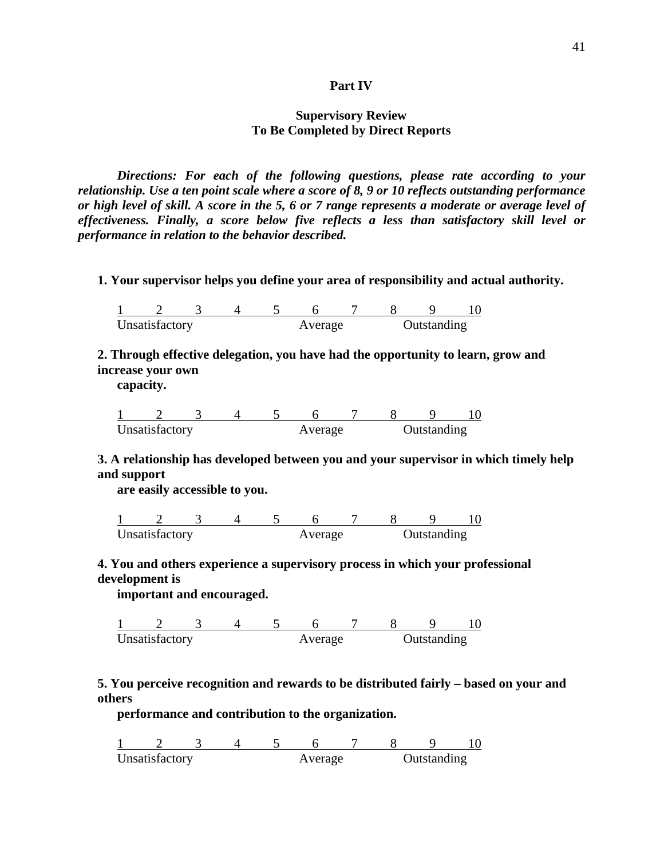#### **Part IV**

### **Supervisory Review To Be Completed by Direct Reports**

*Directions: For each of the following questions, please rate according to your relationship. Use a ten point scale where a score of 8, 9 or 10 reflects outstanding performance or high level of skill. A score in the 5, 6 or 7 range represents a moderate or average level of effectiveness. Finally, a score below five reflects a less than satisfactory skill level or performance in relation to the behavior described.* 

**1. Your supervisor helps you define your area of responsibility and actual authority.** 

1 2 3 4 5 6 7 8 9 10 Unsatisfactory **Average** Outstanding

**2. Through effective delegation, you have had the opportunity to learn, grow and increase your own** 

**capacity.** 

| Unsatisfactory |  | verage<br>. . |  | .)utstanding |  |
|----------------|--|---------------|--|--------------|--|

## **3. A relationship has developed between you and your supervisor in which timely help and support**

**are easily accessible to you.** 

| Unsatisfactory |  | Average |  | <b>Outstanding</b> |  |
|----------------|--|---------|--|--------------------|--|

**4. You and others experience a supervisory process in which your professional development is** 

**important and encouraged.** 

1 2 3 4 5 6 7 8 9 10 Unsatisfactory **Average** Outstanding

**5. You perceive recognition and rewards to be distributed fairly – based on your and others** 

**performance and contribution to the organization.** 

1 2 3 4 5 6 7 8 9 10 Unsatisfactory **Average** Outstanding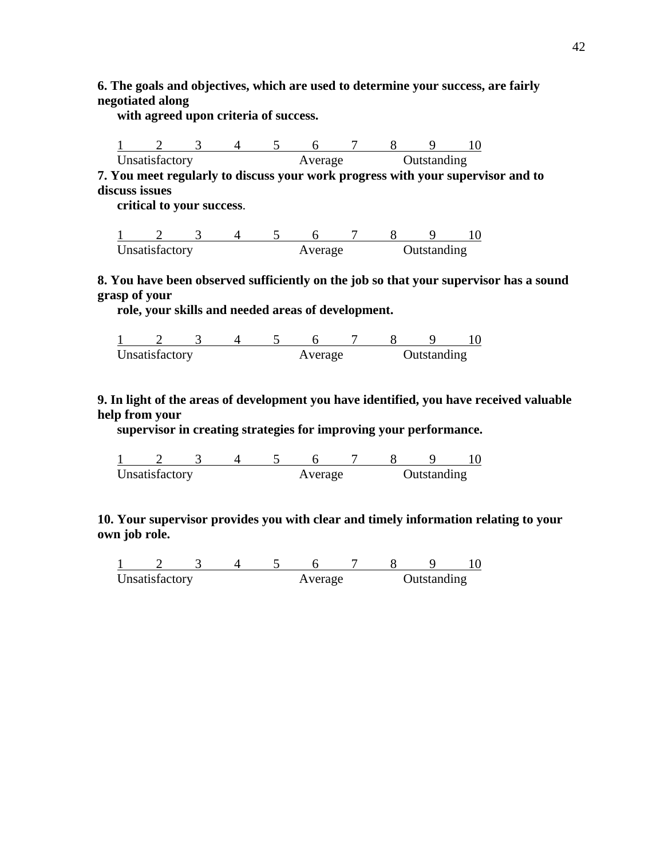**6. The goals and objectives, which are used to determine your success, are fairly negotiated along** 

**with agreed upon criteria of success.** 

1 2 3 4 5 6 7 8 9 10 Unsatisfactory **Average** Outstanding **7. You meet regularly to discuss your work progress with your supervisor and to discuss issues critical to your success**.

1 2 3 4 5 6 7 8 9 10 Unsatisfactory **Average** Outstanding

**8. You have been observed sufficiently on the job so that your supervisor has a sound grasp of your** 

**role, your skills and needed areas of development.** 

| Unsatisfactory |  | 'a σe |  | <b>Dutstanding</b> |  |
|----------------|--|-------|--|--------------------|--|

**9. In light of the areas of development you have identified, you have received valuable help from your** 

**supervisor in creating strategies for improving your performance.** 

| Unsatisfactory |  | Average |  | Outstanding |  |
|----------------|--|---------|--|-------------|--|

**10. Your supervisor provides you with clear and timely information relating to your own job role.** 

1 2 3 4 5 6 7 8 9 10 Unsatisfactory Average Outstanding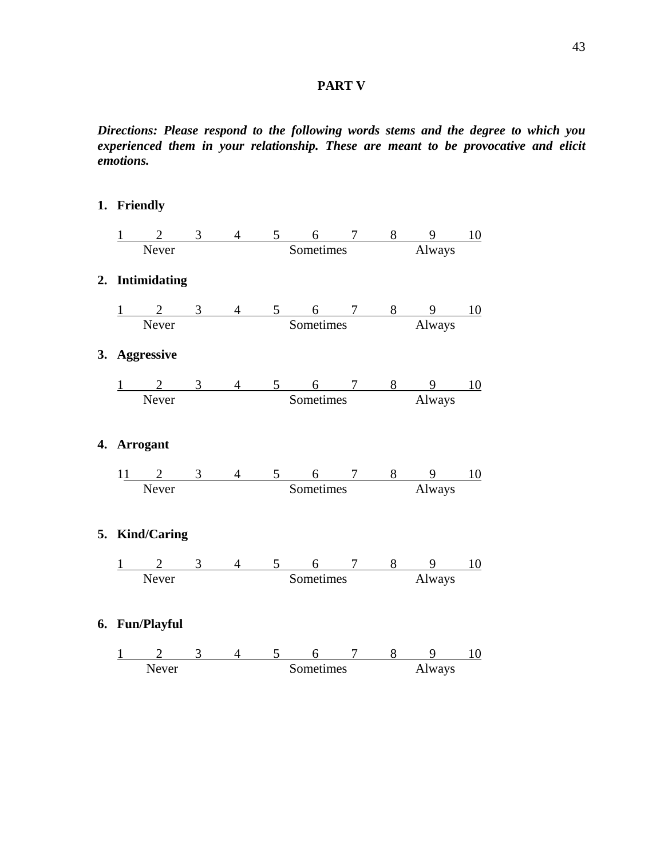#### **PART V**

*Directions: Please respond to the following words stems and the degree to which you experienced them in your relationship. These are meant to be provocative and elicit emotions.* 

#### **1. Friendly**

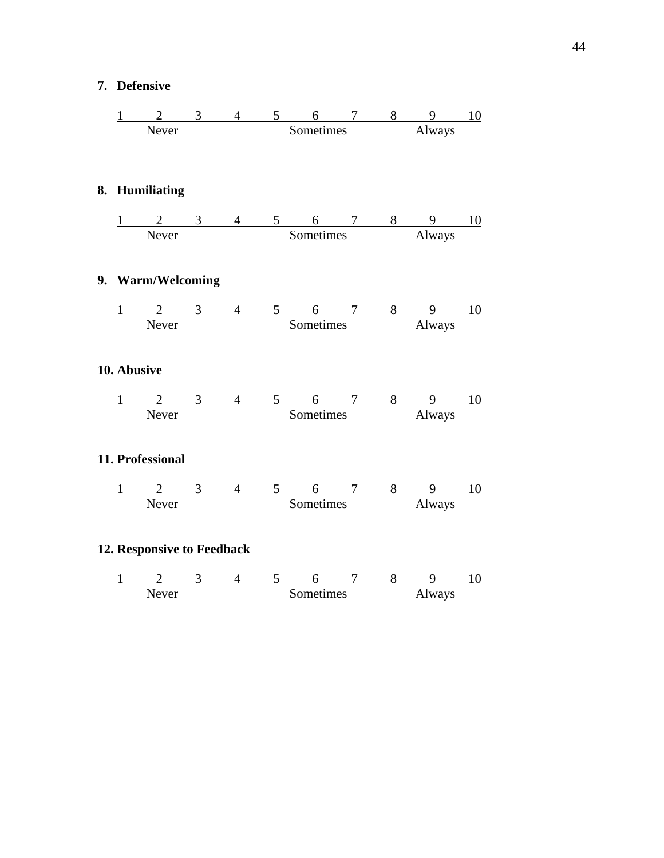#### **7. Defensive**

1 2 3 4 5 6 7 8 9 10 Never Sometimes Always

#### **8. Humiliating**



#### **9. Warm/Welcoming**



#### **10. Abusive**



#### **11. Professional**



#### **12. Responsive to Feedback**

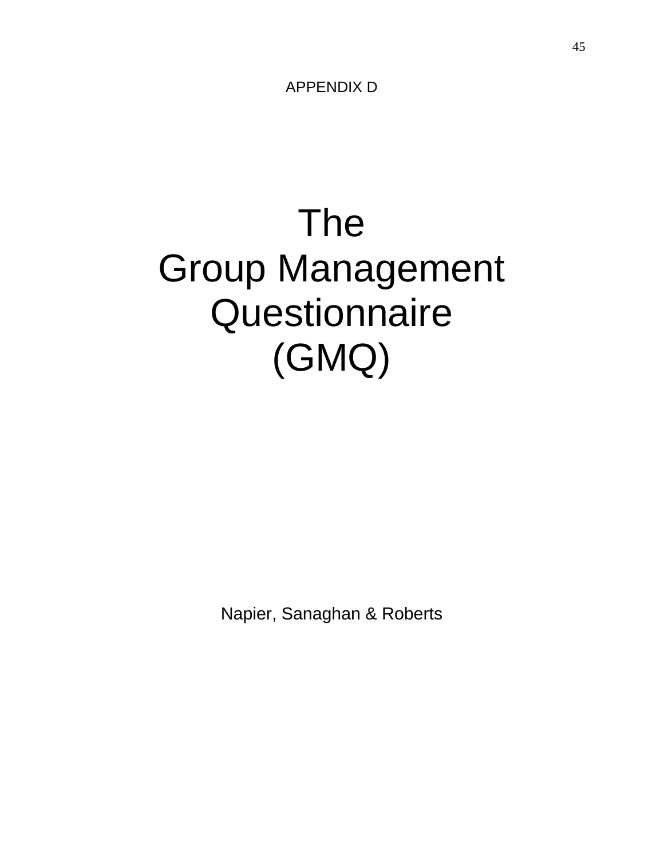APPENDIX D

# The Group Management **Questionnaire** (GMQ)

Napier, Sanaghan & Roberts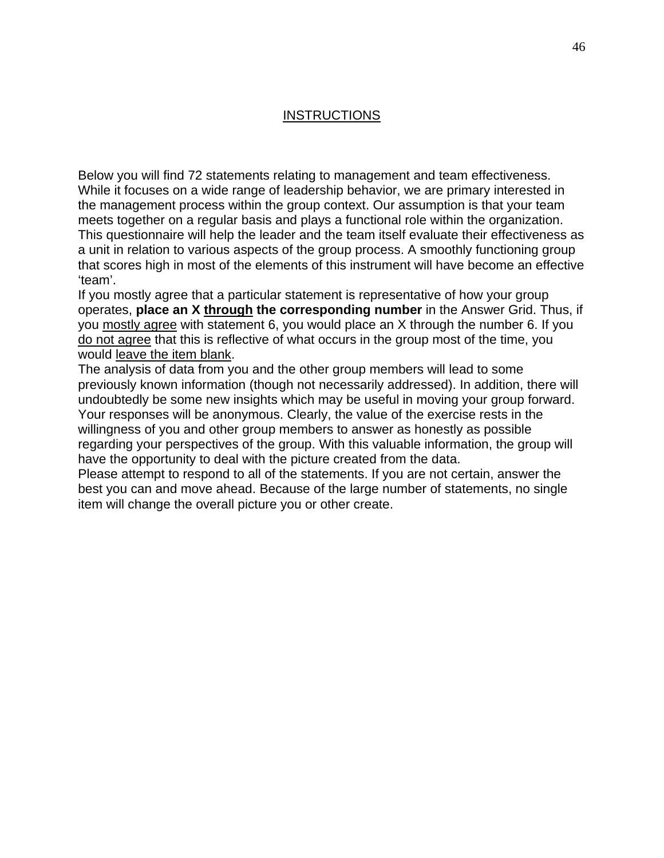## INSTRUCTIONS

Below you will find 72 statements relating to management and team effectiveness. While it focuses on a wide range of leadership behavior, we are primary interested in the management process within the group context. Our assumption is that your team meets together on a regular basis and plays a functional role within the organization. This questionnaire will help the leader and the team itself evaluate their effectiveness as a unit in relation to various aspects of the group process. A smoothly functioning group that scores high in most of the elements of this instrument will have become an effective 'team'.

If you mostly agree that a particular statement is representative of how your group operates, **place an X through the corresponding number** in the Answer Grid. Thus, if you mostly agree with statement 6, you would place an X through the number 6. If you do not agree that this is reflective of what occurs in the group most of the time, you would leave the item blank.

The analysis of data from you and the other group members will lead to some previously known information (though not necessarily addressed). In addition, there will undoubtedly be some new insights which may be useful in moving your group forward. Your responses will be anonymous. Clearly, the value of the exercise rests in the willingness of you and other group members to answer as honestly as possible regarding your perspectives of the group. With this valuable information, the group will have the opportunity to deal with the picture created from the data.

Please attempt to respond to all of the statements. If you are not certain, answer the best you can and move ahead. Because of the large number of statements, no single item will change the overall picture you or other create.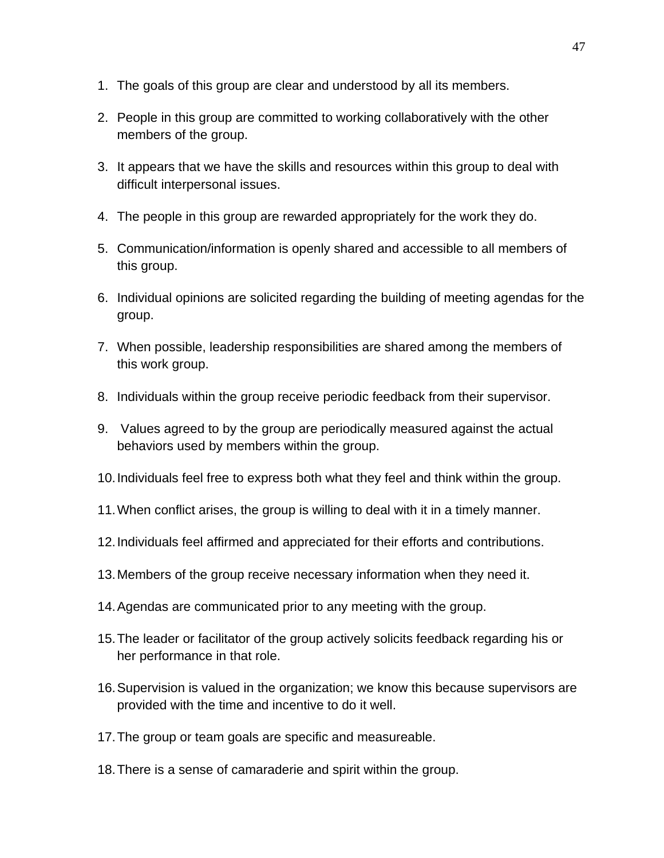- 1. The goals of this group are clear and understood by all its members.
- 2. People in this group are committed to working collaboratively with the other members of the group.
- 3. It appears that we have the skills and resources within this group to deal with difficult interpersonal issues.
- 4. The people in this group are rewarded appropriately for the work they do.
- 5. Communication/information is openly shared and accessible to all members of this group.
- 6. Individual opinions are solicited regarding the building of meeting agendas for the group.
- 7. When possible, leadership responsibilities are shared among the members of this work group.
- 8. Individuals within the group receive periodic feedback from their supervisor.
- 9. Values agreed to by the group are periodically measured against the actual behaviors used by members within the group.
- 10. Individuals feel free to express both what they feel and think within the group.
- 11. When conflict arises, the group is willing to deal with it in a timely manner.
- 12. Individuals feel affirmed and appreciated for their efforts and contributions.
- 13. Members of the group receive necessary information when they need it.
- 14. Agendas are communicated prior to any meeting with the group.
- 15. The leader or facilitator of the group actively solicits feedback regarding his or her performance in that role.
- 16. Supervision is valued in the organization; we know this because supervisors are provided with the time and incentive to do it well.
- 17. The group or team goals are specific and measureable.
- 18. There is a sense of camaraderie and spirit within the group.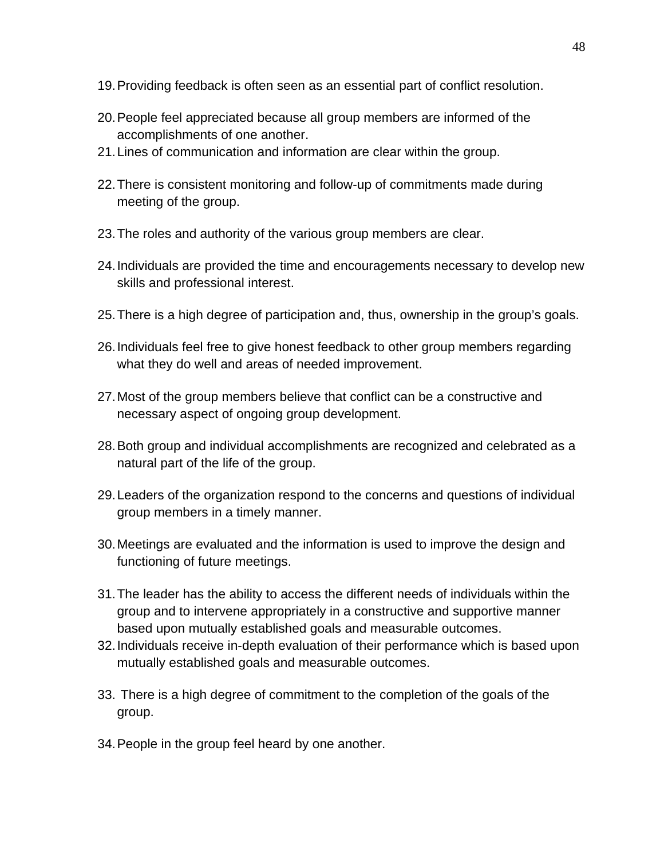- 19.Providing feedback is often seen as an essential part of conflict resolution.
- 20. People feel appreciated because all group members are informed of the accomplishments of one another.
- 21. Lines of communication and information are clear within the group.
- 22. There is consistent monitoring and follow-up of commitments made during meeting of the group.
- 23. The roles and authority of the various group members are clear.
- 24. Individuals are provided the time and encouragements necessary to develop new skills and professional interest.
- 25. There is a high degree of participation and, thus, ownership in the group's goals.
- 26. Individuals feel free to give honest feedback to other group members regarding what they do well and areas of needed improvement.
- 27. Most of the group members believe that conflict can be a constructive and necessary aspect of ongoing group development.
- 28. Both group and individual accomplishments are recognized and celebrated as a natural part of the life of the group.
- 29. Leaders of the organization respond to the concerns and questions of individual group members in a timely manner.
- 30. Meetings are evaluated and the information is used to improve the design and functioning of future meetings.
- 31. The leader has the ability to access the different needs of individuals within the group and to intervene appropriately in a constructive and supportive manner based upon mutually established goals and measurable outcomes.
- 32. Individuals receive in-depth evaluation of their performance which is based upon mutually established goals and measurable outcomes.
- 33. There is a high degree of commitment to the completion of the goals of the group.
- 34. People in the group feel heard by one another.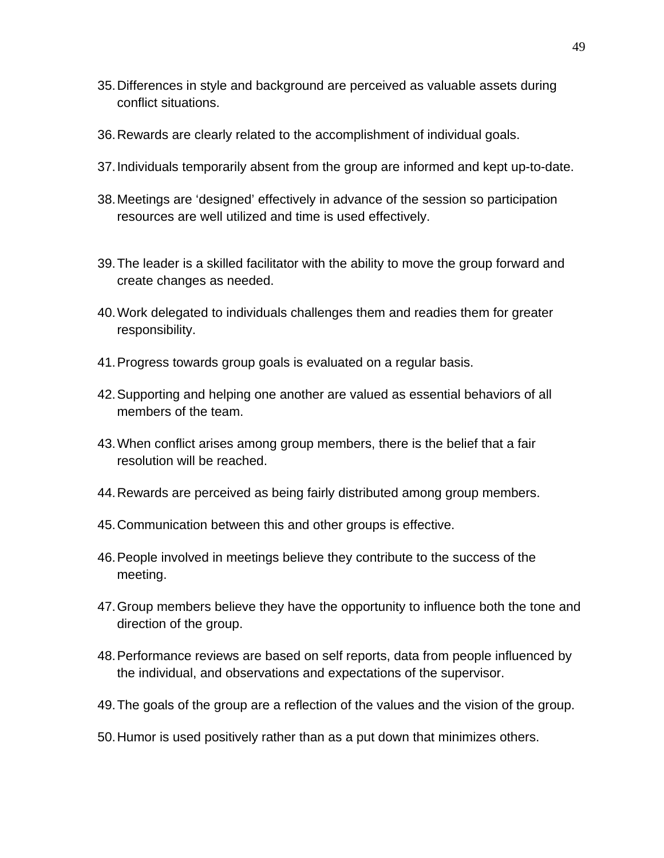- 35.Differences in style and background are perceived as valuable assets during conflict situations.
- 36. Rewards are clearly related to the accomplishment of individual goals.
- 37. Individuals temporarily absent from the group are informed and kept up-to-date.
- 38. Meetings are 'designed' effectively in advance of the session so participation resources are well utilized and time is used effectively.
- 39. The leader is a skilled facilitator with the ability to move the group forward and create changes as needed.
- 40. Work delegated to individuals challenges them and readies them for greater responsibility.
- 41. Progress towards group goals is evaluated on a regular basis.
- 42. Supporting and helping one another are valued as essential behaviors of all members of the team.
- 43. When conflict arises among group members, there is the belief that a fair resolution will be reached.
- 44. Rewards are perceived as being fairly distributed among group members.
- 45. Communication between this and other groups is effective.
- 46. People involved in meetings believe they contribute to the success of the meeting.
- 47. Group members believe they have the opportunity to influence both the tone and direction of the group.
- 48. Performance reviews are based on self reports, data from people influenced by the individual, and observations and expectations of the supervisor.
- 49. The goals of the group are a reflection of the values and the vision of the group.
- 50. Humor is used positively rather than as a put down that minimizes others.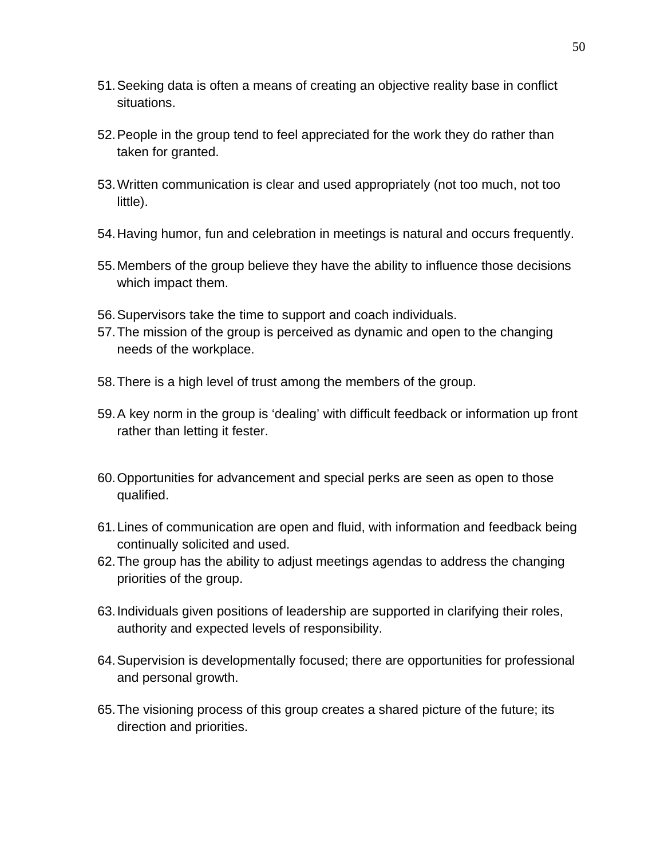- 51.Seeking data is often a means of creating an objective reality base in conflict situations.
- 52. People in the group tend to feel appreciated for the work they do rather than taken for granted.
- 53. Written communication is clear and used appropriately (not too much, not too little).
- 54. Having humor, fun and celebration in meetings is natural and occurs frequently.
- 55. Members of the group believe they have the ability to influence those decisions which impact them.
- 56. Supervisors take the time to support and coach individuals.
- 57. The mission of the group is perceived as dynamic and open to the changing needs of the workplace.
- 58. There is a high level of trust among the members of the group.
- 59. A key norm in the group is 'dealing' with difficult feedback or information up front rather than letting it fester.
- 60. Opportunities for advancement and special perks are seen as open to those qualified.
- 61. Lines of communication are open and fluid, with information and feedback being continually solicited and used.
- 62. The group has the ability to adjust meetings agendas to address the changing priorities of the group.
- 63. Individuals given positions of leadership are supported in clarifying their roles, authority and expected levels of responsibility.
- 64. Supervision is developmentally focused; there are opportunities for professional and personal growth.
- 65. The visioning process of this group creates a shared picture of the future; its direction and priorities.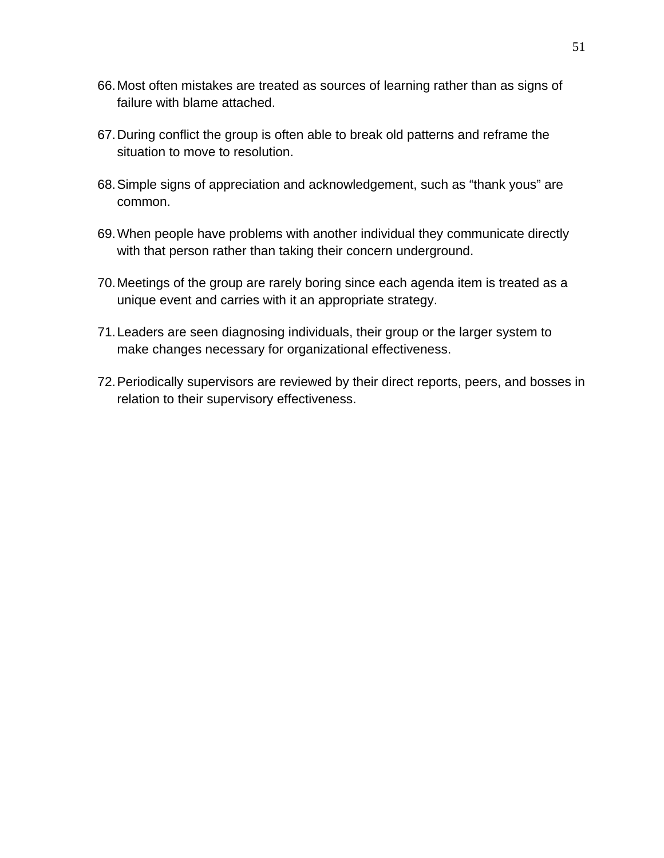- 66.Most often mistakes are treated as sources of learning rather than as signs of failure with blame attached.
- 67. During conflict the group is often able to break old patterns and reframe the situation to move to resolution.
- 68. Simple signs of appreciation and acknowledgement, such as "thank yous" are common.
- 69. When people have problems with another individual they communicate directly with that person rather than taking their concern underground.
- 70. Meetings of the group are rarely boring since each agenda item is treated as a unique event and carries with it an appropriate strategy.
- 71. Leaders are seen diagnosing individuals, their group or the larger system to make changes necessary for organizational effectiveness.
- 72. Periodically supervisors are reviewed by their direct reports, peers, and bosses in relation to their supervisory effectiveness.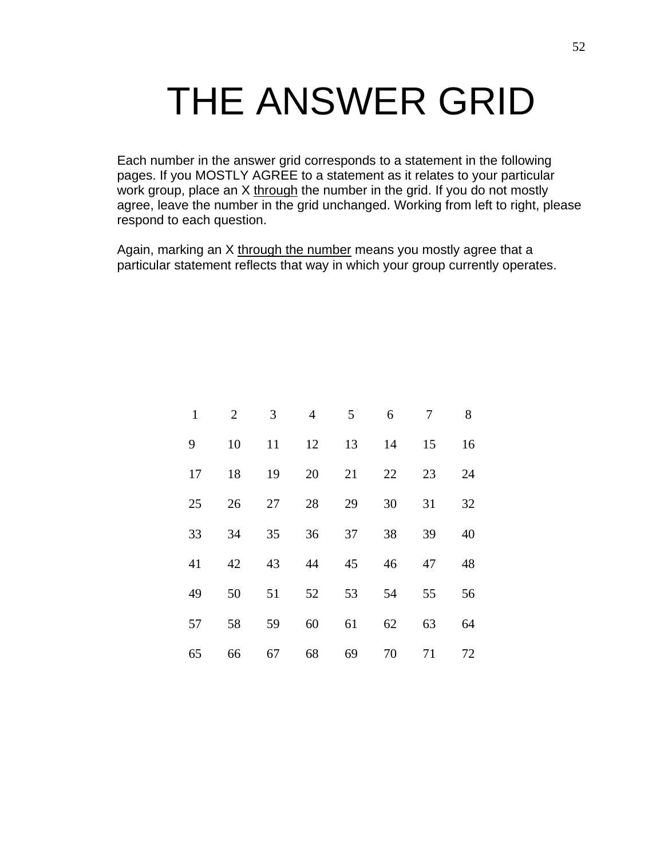# THE ANSWER GRID

Each number in the answer grid corresponds to a statement in the following pages. If you MOSTLY AGREE to a statement as it relates to your particular work group, place an X through the number in the grid. If you do not mostly agree, leave the number in the grid unchanged. Working from left to right, please respond to each question.

Again, marking an X through the number means you mostly agree that a particular statement reflects that way in which your group currently operates.

| $\mathbf{1}$ | $\overline{2}$ | 3  | $\overline{4}$ | 5  | 6  | 7  | 8  |
|--------------|----------------|----|----------------|----|----|----|----|
| 9            | 10             | 11 | 12             | 13 | 14 | 15 | 16 |
| 17           | 18             | 19 | 20             | 21 | 22 | 23 | 24 |
| 25           | 26             | 27 | 28             | 29 | 30 | 31 | 32 |
| 33           | 34             | 35 | 36             | 37 | 38 | 39 | 40 |
| 41           | 42             | 43 | 44             | 45 | 46 | 47 | 48 |
| 49           | 50             | 51 | 52             | 53 | 54 | 55 | 56 |
| 57           | 58             | 59 | 60             | 61 | 62 | 63 | 64 |
| 65           | 66             | 67 | 68             | 69 | 70 | 71 | 72 |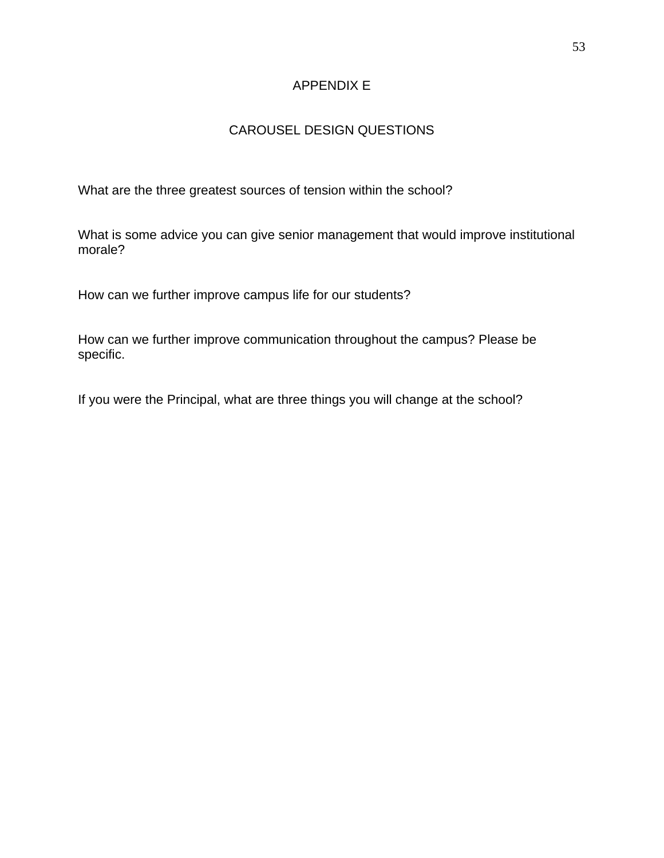## APPENDIX E

## CAROUSEL DESIGN QUESTIONS

What are the three greatest sources of tension within the school?

What is some advice you can give senior management that would improve institutional morale?

How can we further improve campus life for our students?

How can we further improve communication throughout the campus? Please be specific.

If you were the Principal, what are three things you will change at the school?